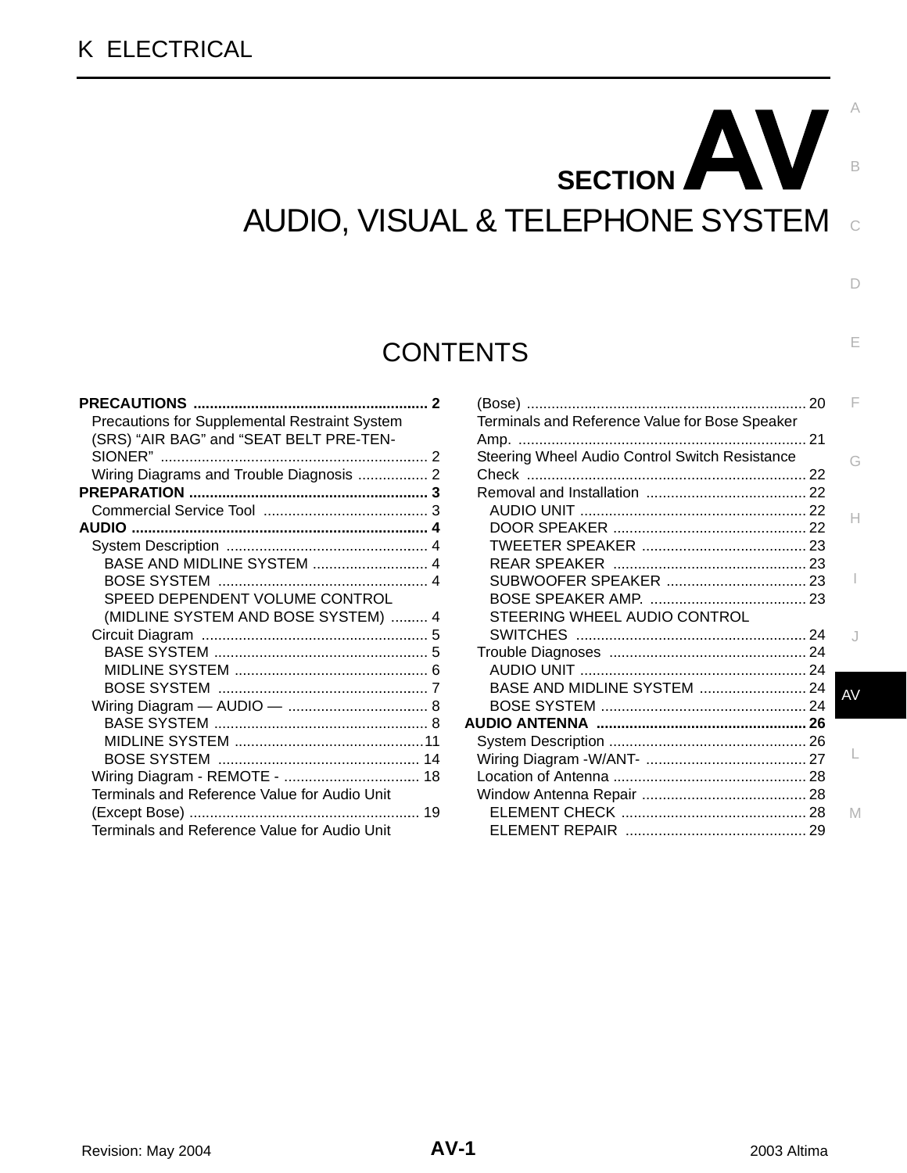# AV **SECTION**  AUDIO, VISUAL & TELEPHONE SYSTEM

## **CONTENTS**

| <b>PRECAUTIONS </b>                                  |   |
|------------------------------------------------------|---|
| <b>Precautions for Supplemental Restraint System</b> |   |
| (SRS) "AIR BAG" and "SEAT BELT PRE-TEN-              |   |
|                                                      |   |
| Wiring Diagrams and Trouble Diagnosis  2             |   |
|                                                      |   |
|                                                      |   |
|                                                      |   |
|                                                      |   |
| BASE AND MIDLINE SYSTEM  4                           |   |
|                                                      |   |
| SPEED DEPENDENT VOLUME CONTROL                       |   |
| (MIDLINE SYSTEM AND BOSE SYSTEM)  4                  |   |
|                                                      |   |
|                                                      |   |
|                                                      | 6 |
|                                                      |   |
|                                                      |   |
|                                                      |   |
|                                                      |   |
|                                                      |   |
| Wiring Diagram - REMOTE -  18                        |   |
| Terminals and Reference Value for Audio Unit         |   |
|                                                      |   |
| Terminals and Reference Value for Audio Unit         |   |

| - 20                                           |    |
|------------------------------------------------|----|
| Terminals and Reference Value for Bose Speaker |    |
|                                                |    |
| Steering Wheel Audio Control Switch Resistance | G  |
|                                                |    |
|                                                |    |
|                                                | н  |
|                                                |    |
|                                                |    |
|                                                |    |
| SUBWOOFER SPEAKER  23                          |    |
|                                                |    |
| STEERING WHEEL AUDIO CONTROL                   |    |
|                                                |    |
|                                                |    |
|                                                |    |
| BASE AND MIDLINE SYSTEM  24                    | AV |
|                                                |    |
|                                                |    |
|                                                |    |
|                                                |    |
|                                                |    |
|                                                |    |
|                                                | M  |
|                                                |    |
|                                                |    |

C

B

A

 $\Box$ 

E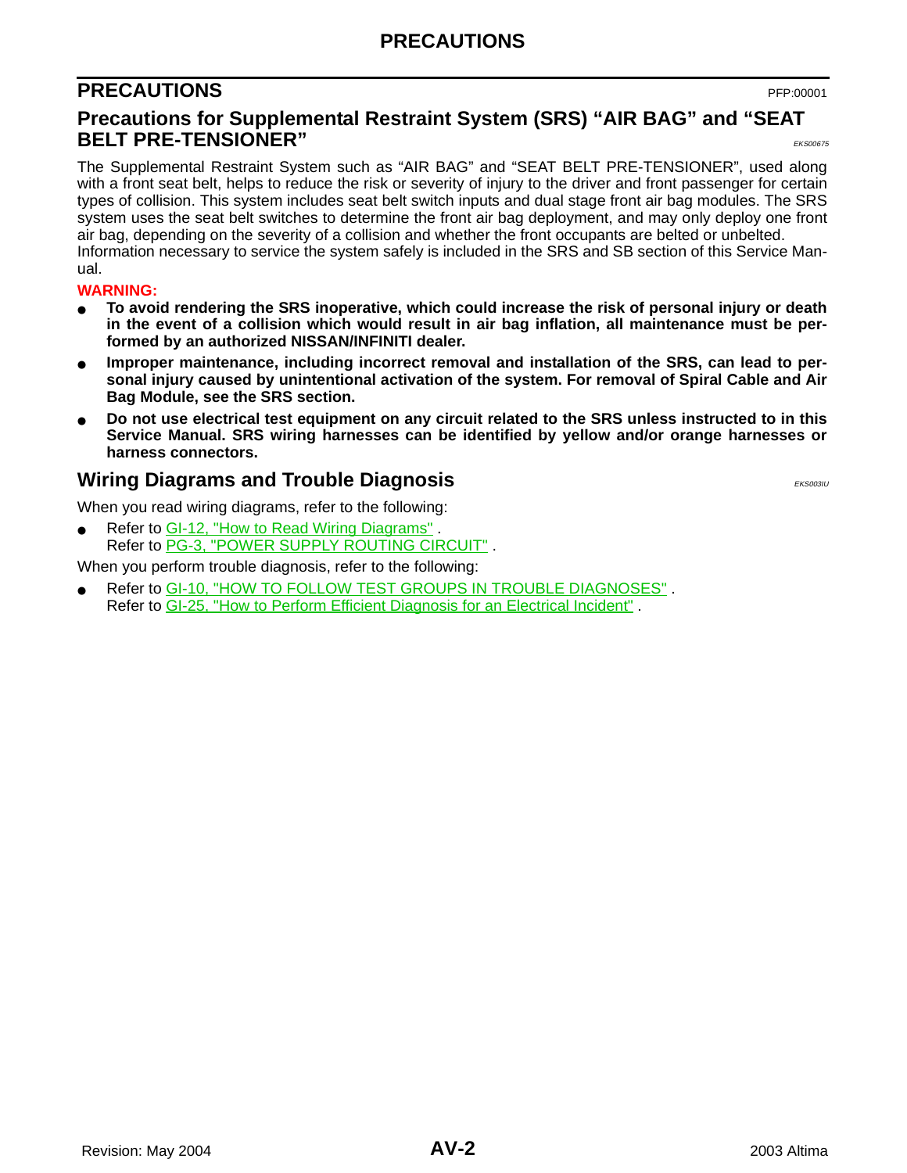### **PRECAUTIONS**

### <span id="page-1-0"></span>**PRECAUTIONS** PFP:00001

#### <span id="page-1-1"></span>**Precautions for Supplemental Restraint System (SRS) "AIR BAG" and "SEAT BELT PRE-TENSIONER"**  $\frac{1}{\text{EKS000000}}$

The Supplemental Restraint System such as "AIR BAG" and "SEAT BELT PRE-TENSIONER", used along with a front seat belt, helps to reduce the risk or severity of injury to the driver and front passenger for certain types of collision. This system includes seat belt switch inputs and dual stage front air bag modules. The SRS system uses the seat belt switches to determine the front air bag deployment, and may only deploy one front air bag, depending on the severity of a collision and whether the front occupants are belted or unbelted. Information necessary to service the system safely is included in the SRS and SB section of this Service Manual.

#### **WARNING:**

- **To avoid rendering the SRS inoperative, which could increase the risk of personal injury or death in the event of a collision which would result in air bag inflation, all maintenance must be performed by an authorized NISSAN/INFINITI dealer.**
- Improper maintenance, including incorrect removal and installation of the SRS, can lead to per**sonal injury caused by unintentional activation of the system. For removal of Spiral Cable and Air Bag Module, see the SRS section.**
- Do not use electrical test equipment on any circuit related to the SRS unless instructed to in this **Service Manual. SRS wiring harnesses can be identified by yellow and/or orange harnesses or harness connectors.**

#### <span id="page-1-2"></span>**Wiring Diagrams and Trouble Diagnosis** Entertainment of the EKS003IU

When you read wiring diagrams, refer to the following:

Refer to GI-12, "How to Read Wiring Diagrams". Refer to PG-3, "POWER SUPPLY ROUTING CIRCUIT" .

When you perform trouble diagnosis, refer to the following:

Refer to GI-10, "HOW TO FOLLOW TEST GROUPS IN TROUBLE DIAGNOSES". Refer to GI-25, "How to Perform Efficient Diagnosis for an Electrical Incident" .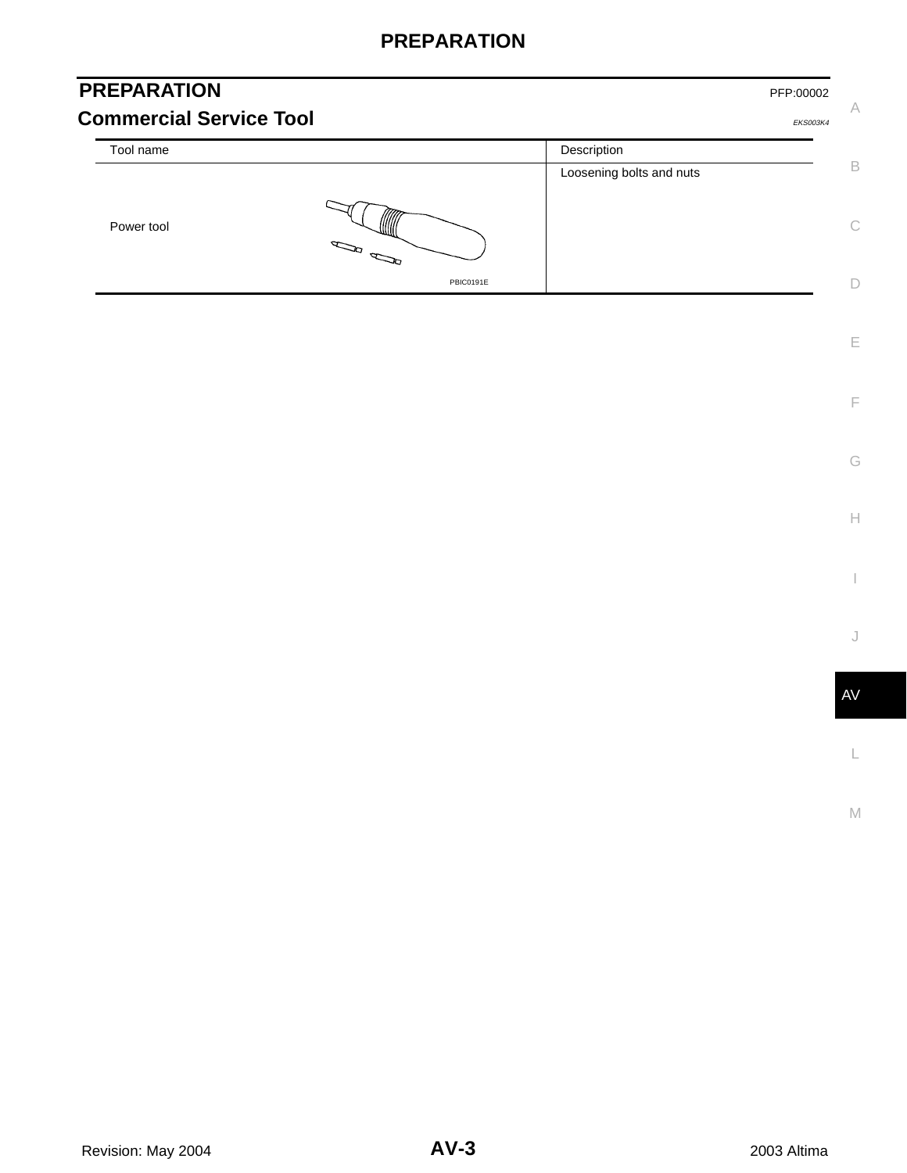### **PREPARATION**

<span id="page-2-1"></span><span id="page-2-0"></span>

| <b>PREPARATION</b>             |                                                                                                                                                                                                                                                                                                                                                     |                          | PFP:00002       |    |
|--------------------------------|-----------------------------------------------------------------------------------------------------------------------------------------------------------------------------------------------------------------------------------------------------------------------------------------------------------------------------------------------------|--------------------------|-----------------|----|
| <b>Commercial Service Tool</b> |                                                                                                                                                                                                                                                                                                                                                     |                          | <b>EKS003K4</b> | Α  |
| Tool name                      |                                                                                                                                                                                                                                                                                                                                                     | Description              |                 |    |
|                                |                                                                                                                                                                                                                                                                                                                                                     | Loosening bolts and nuts |                 | B  |
| Power tool                     | $\begin{picture}(180,170) \put(0,0){\line(1,0){10}} \put(10,0){\line(1,0){10}} \put(10,0){\line(1,0){10}} \put(10,0){\line(1,0){10}} \put(10,0){\line(1,0){10}} \put(10,0){\line(1,0){10}} \put(10,0){\line(1,0){10}} \put(10,0){\line(1,0){10}} \put(10,0){\line(1,0){10}} \put(10,0){\line(1,0){10}} \put(10,0){\line(1,0){10}} \put(10,0){\line$ |                          |                 | C. |
|                                | PBIC0191E                                                                                                                                                                                                                                                                                                                                           |                          |                 |    |

AV

L

M

E

F

G

 $\mathrel{\vdash}\mathrel{\vdash}$ 

I

J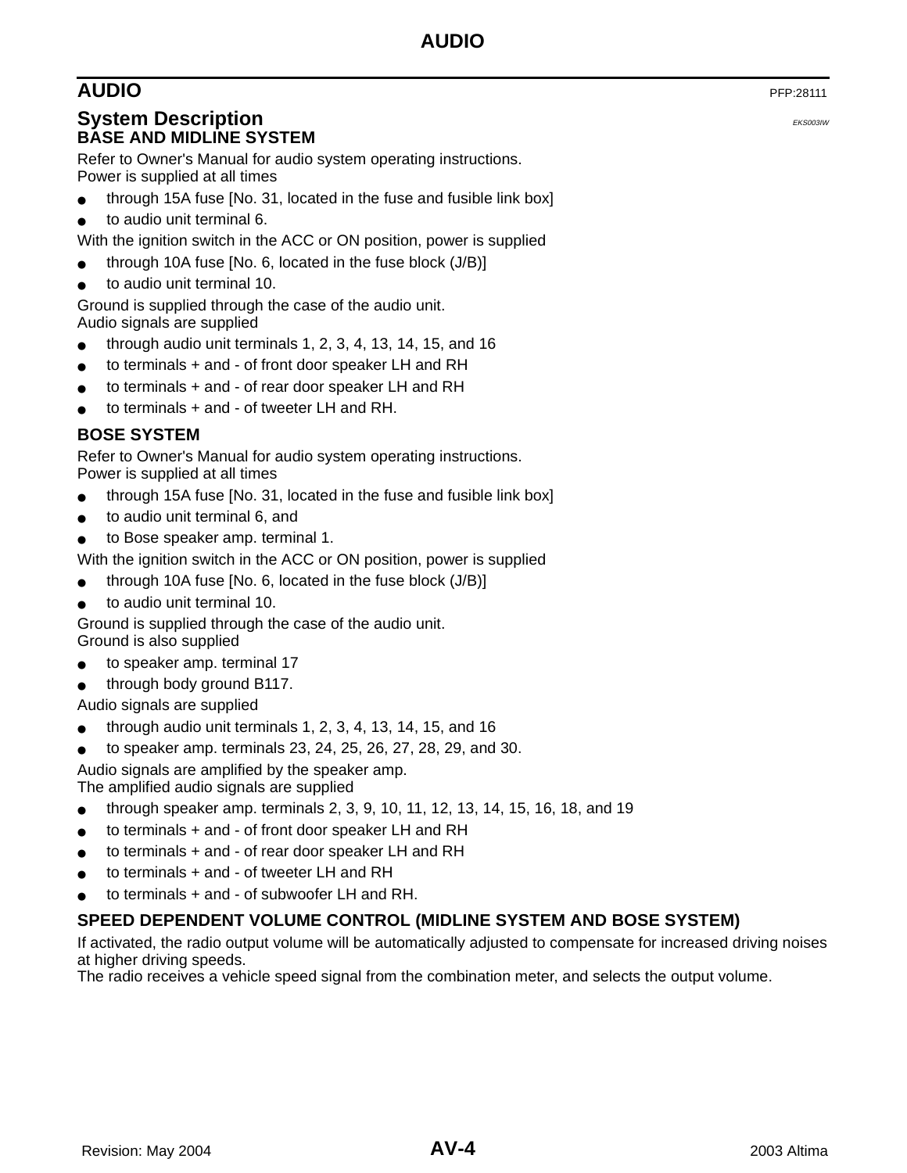### <span id="page-3-0"></span>**AUDIO** PFP:28111

#### <span id="page-3-2"></span><span id="page-3-1"></span>**System Description** EXACUSE **EXECUTE:** The system of the system of the system of the system of the system of the system of the system of the system of the system of the system of the system of the system of the system of **BASE AND MIDLINE SYSTEM**

Refer to Owner's Manual for audio system operating instructions. Power is supplied at all times

- through 15A fuse [No. 31, located in the fuse and fusible link box]
- to audio unit terminal 6.
- With the ignition switch in the ACC or ON position, power is supplied
- through 10A fuse [No. 6, located in the fuse block  $(J/B)$ ]
- to audio unit terminal 10.

Ground is supplied through the case of the audio unit. Audio signals are supplied

- through audio unit terminals 1, 2, 3, 4, 13, 14, 15, and 16
- to terminals + and of front door speaker LH and RH
- to terminals  $+$  and  $-$  of rear door speaker LH and RH
- to terminals  $+$  and  $-$  of tweeter LH and RH.

#### <span id="page-3-3"></span>**BOSE SYSTEM**

Refer to Owner's Manual for audio system operating instructions. Power is supplied at all times

- through 15A fuse [No. 31, located in the fuse and fusible link box]
- to audio unit terminal 6, and
- to Bose speaker amp. terminal 1.
- With the ignition switch in the ACC or ON position, power is supplied
- through 10A fuse  $[No. 6]$ , located in the fuse block  $(J/B)$
- to audio unit terminal 10.

Ground is supplied through the case of the audio unit. Ground is also supplied

- to speaker amp. terminal 17
- through body ground B117.
- Audio signals are supplied
- through audio unit terminals  $1, 2, 3, 4, 13, 14, 15$ , and  $16$
- to speaker amp. terminals 23, 24, 25, 26, 27, 28, 29, and 30.

Audio signals are amplified by the speaker amp.

The amplified audio signals are supplied

- through speaker amp. terminals 2, 3, 9, 10, 11, 12, 13, 14, 15, 16, 18, and 19
- to terminals + and of front door speaker LH and RH
- to terminals  $+$  and  $-$  of rear door speaker LH and RH
- to terminals  $+$  and  $-$  of tweeter LH and RH
- to terminals  $+$  and  $-$  of subwoofer LH and RH.

#### <span id="page-3-4"></span>**SPEED DEPENDENT VOLUME CONTROL (MIDLINE SYSTEM AND BOSE SYSTEM)**

If activated, the radio output volume will be automatically adjusted to compensate for increased driving noises at higher driving speeds.

The radio receives a vehicle speed signal from the combination meter, and selects the output volume.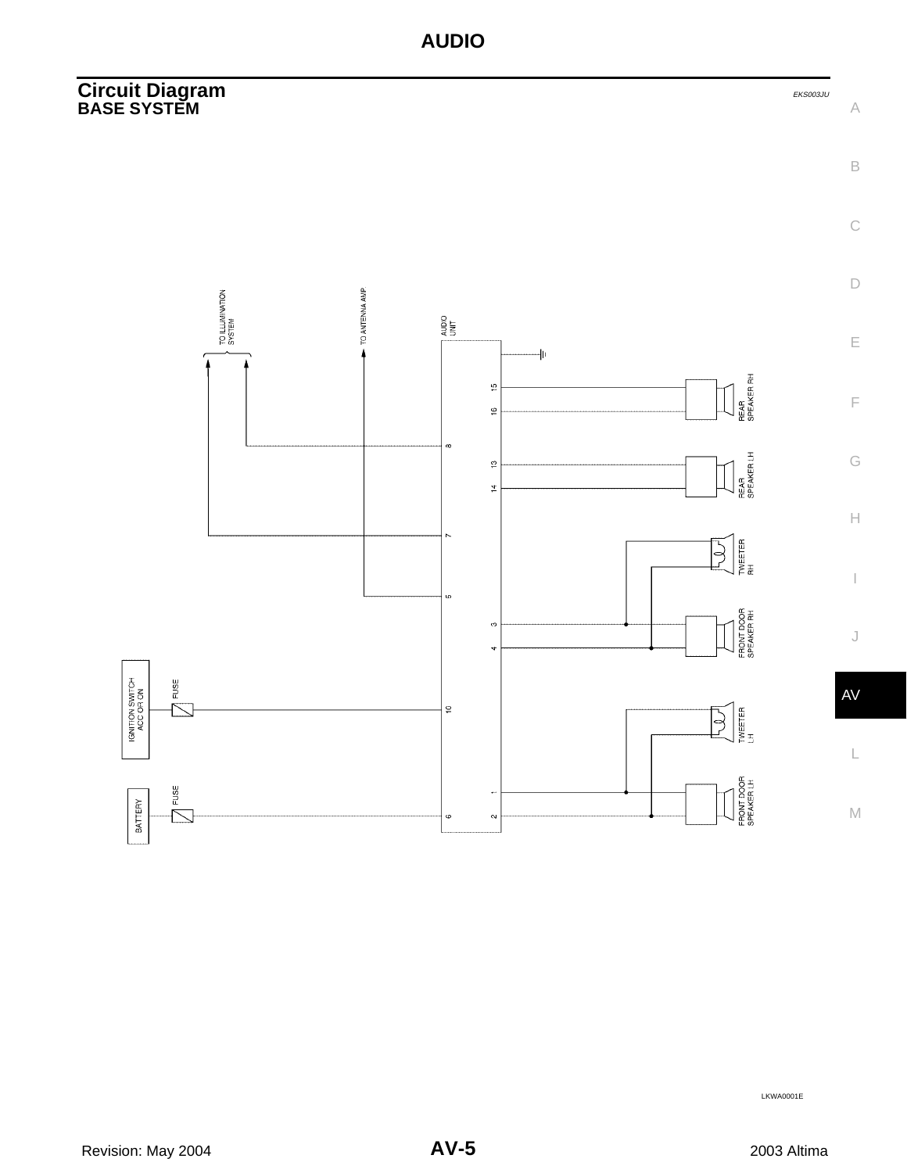#### <span id="page-4-1"></span><span id="page-4-0"></span>**Circuit Diagram** EXS003JU **BASE SYSTEM**



LKWA0001E

A

B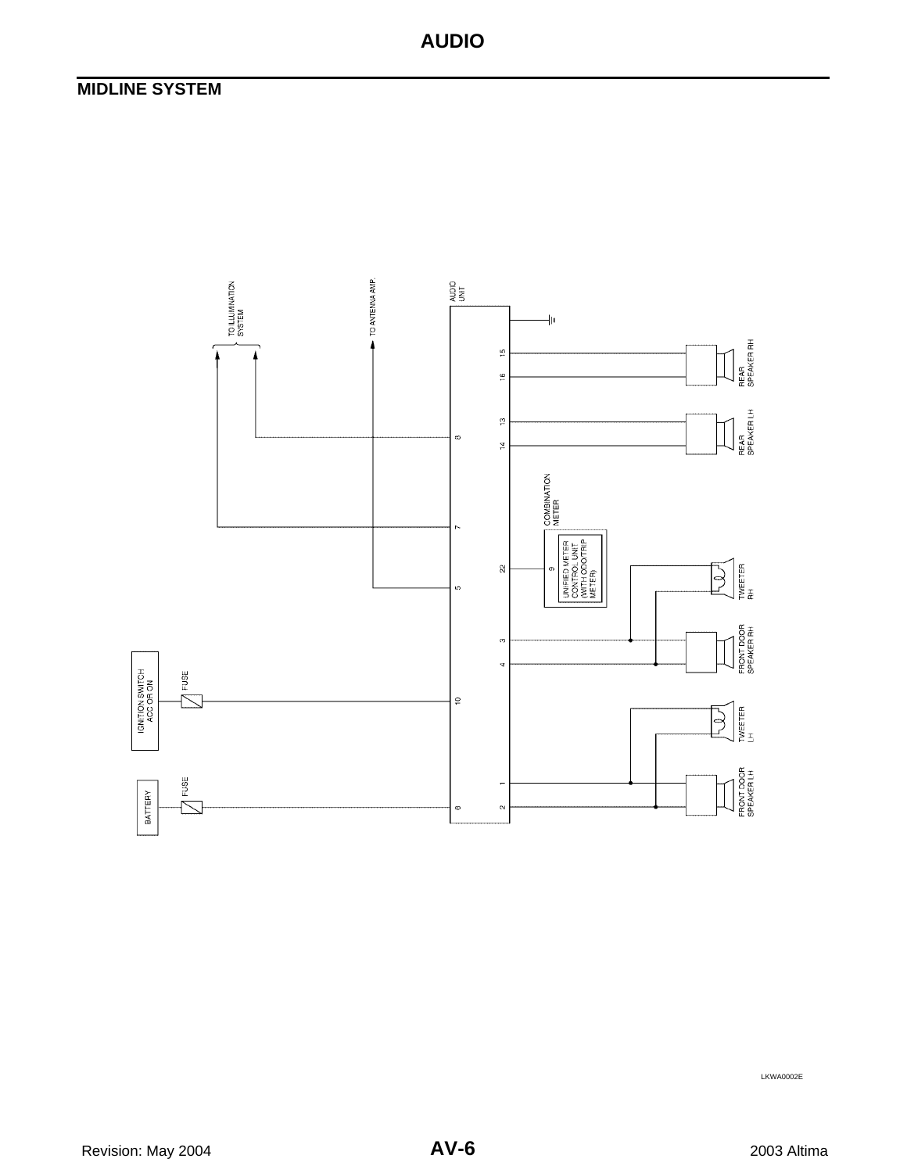### <span id="page-5-0"></span>**MIDLINE SYSTEM**



LKWA0002E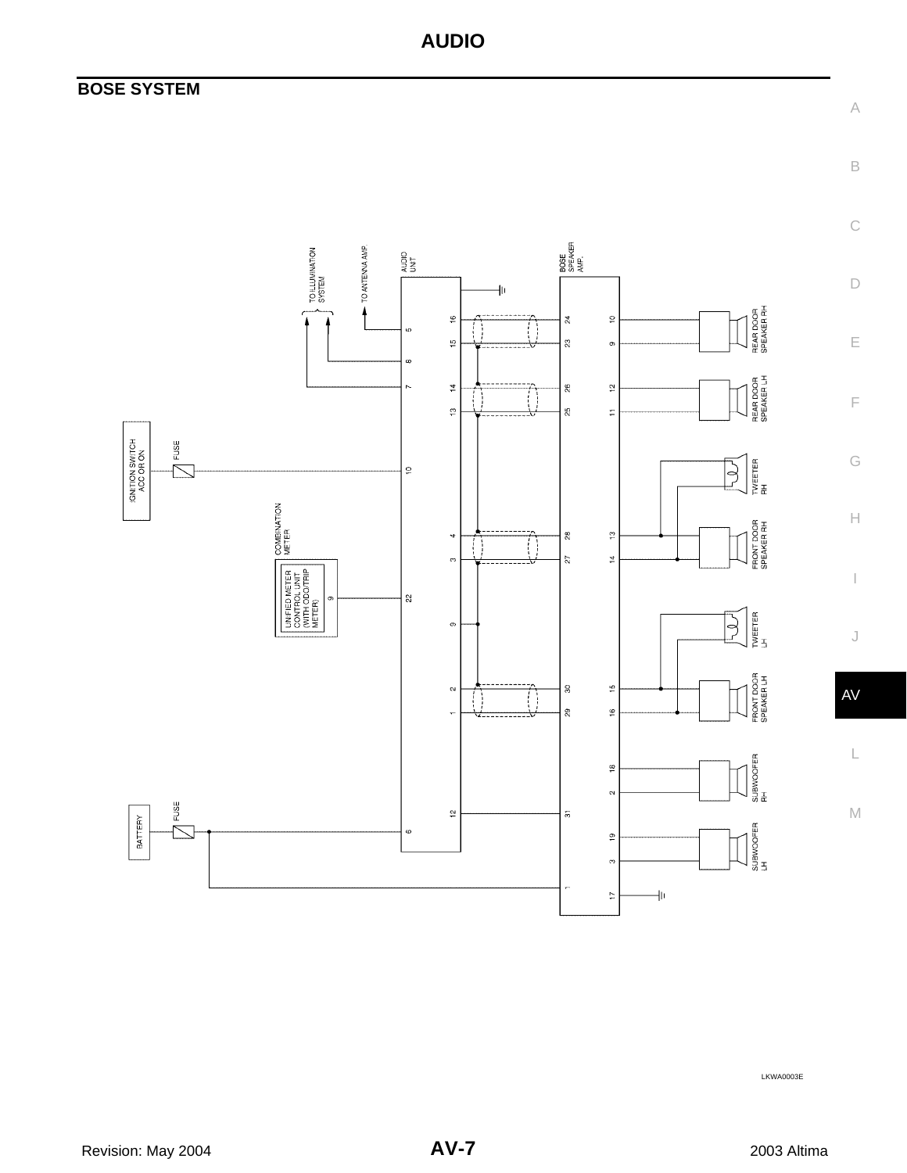### <span id="page-6-0"></span>**BOSE SYSTEM**



LKWA0003E

A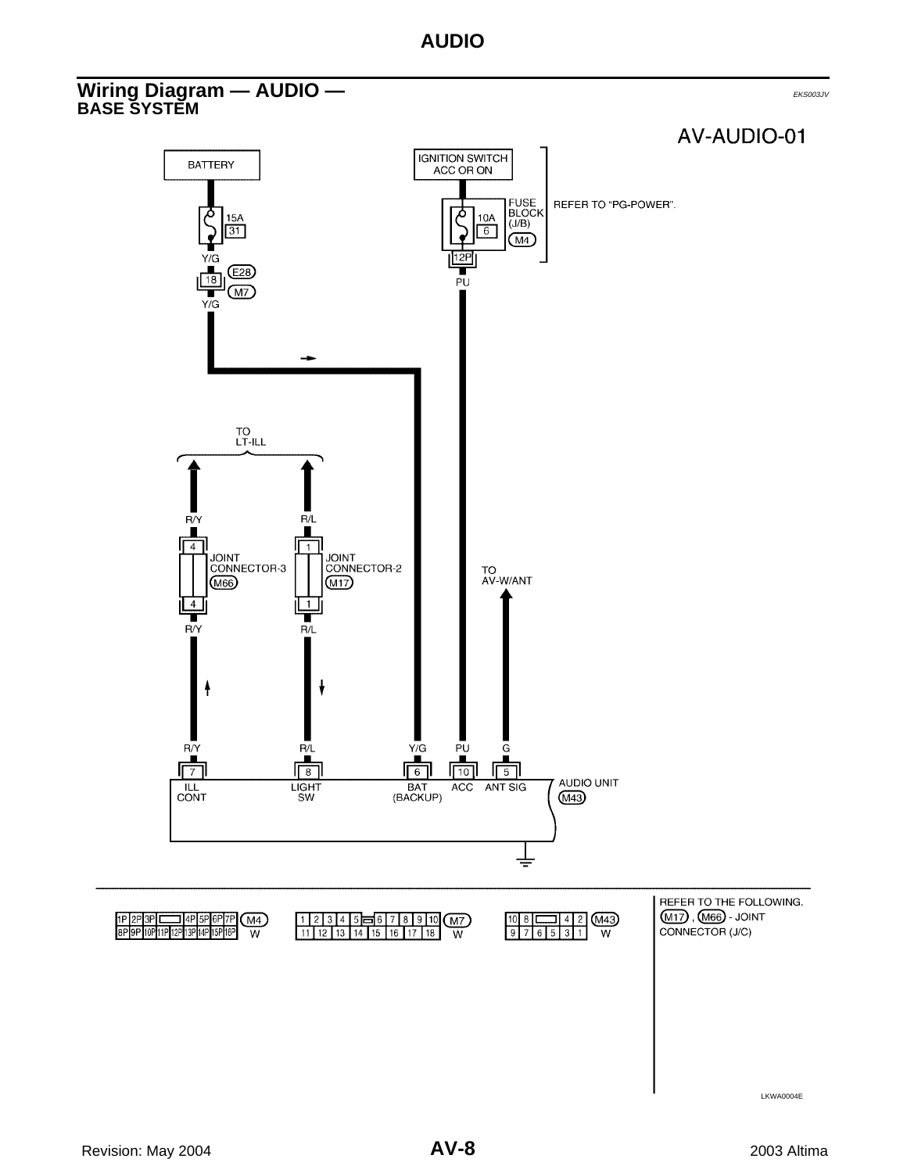#### <span id="page-7-1"></span><span id="page-7-0"></span>**Wiring Diagram — AUDIO —** EXAMPLE **Diagram — AUDIO — BASE SYSTEM**

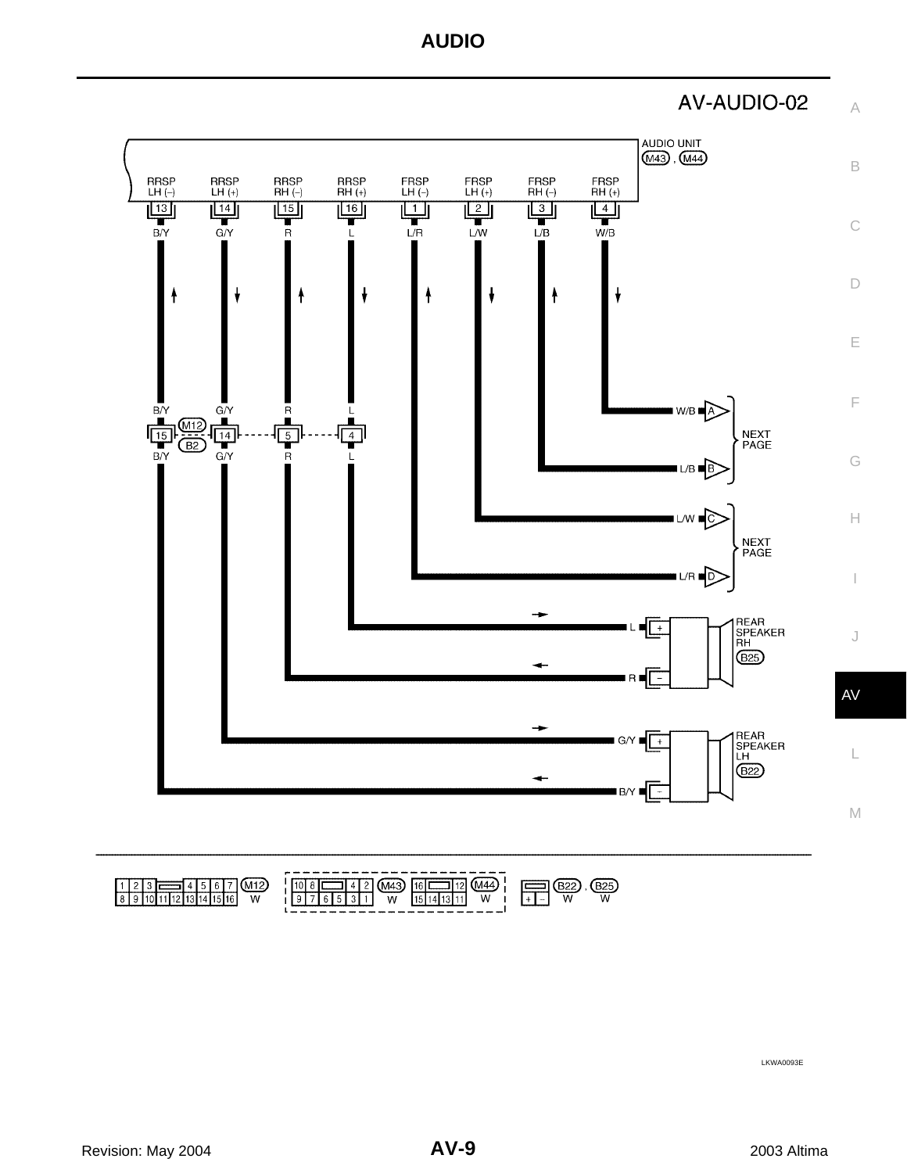

A



|                               | --                                                                         |
|-------------------------------|----------------------------------------------------------------------------|
| - 117<br>__<br>----<br>W<br>v | ------<br><b>DOF</b><br><br>. .<br>---<br>W<br>W<br>W<br>W<br>-<br>. .<br> |

LKWA0093E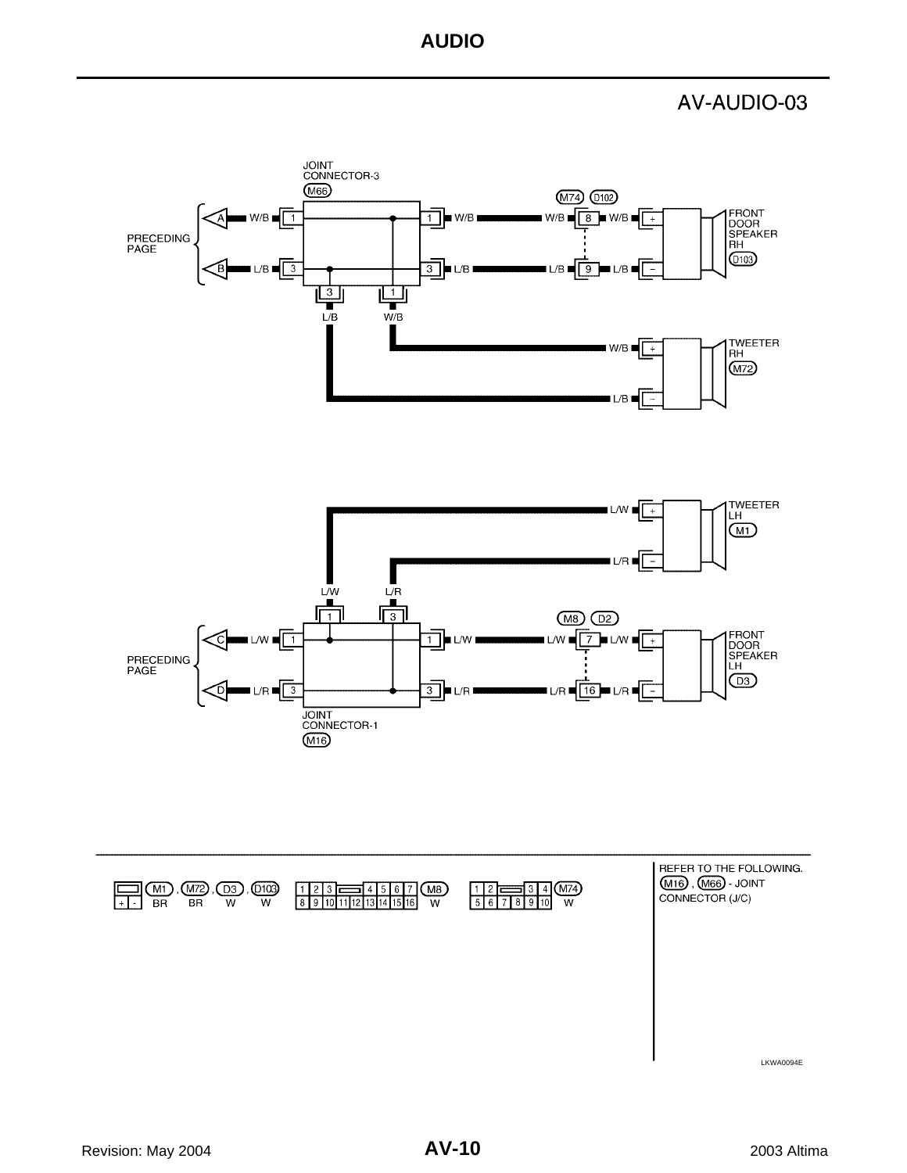#### AV-AUDIO-03

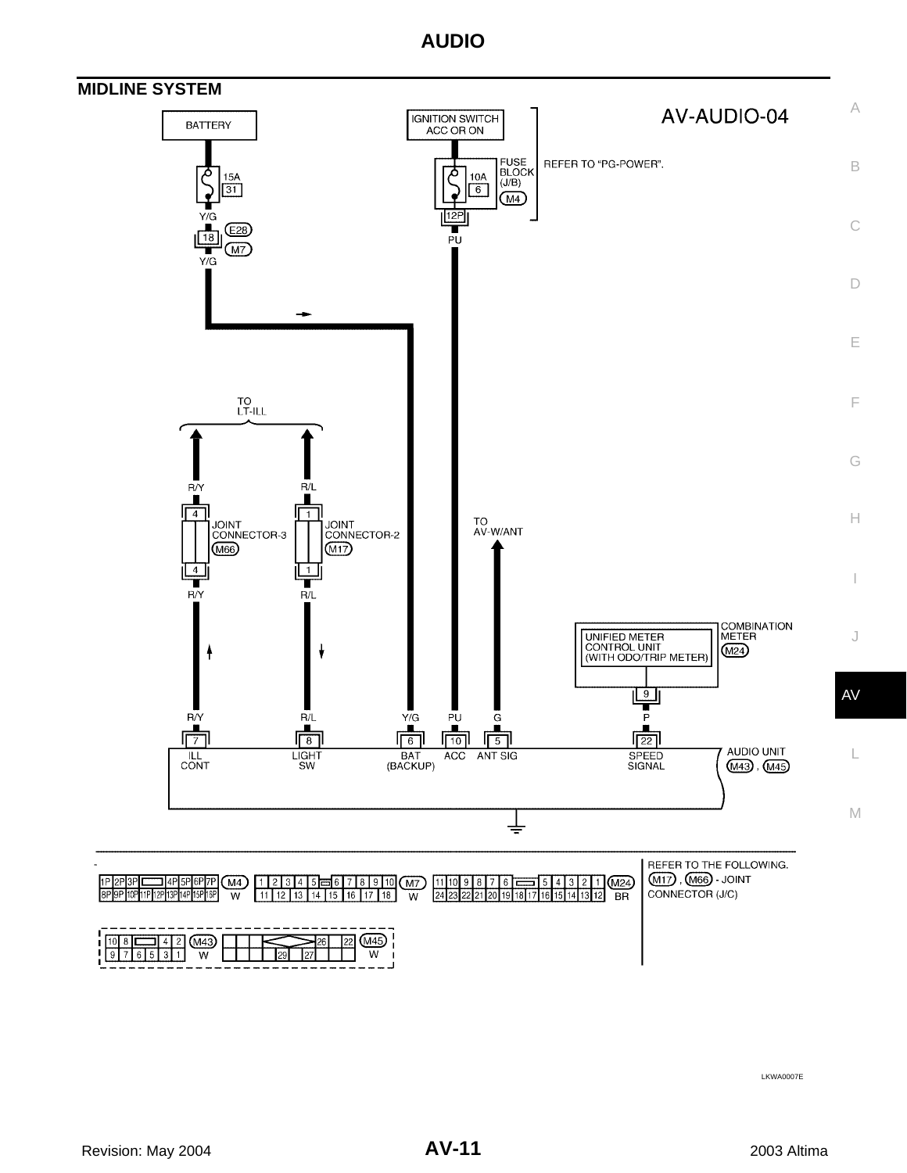

<span id="page-10-0"></span>

LKWA0007E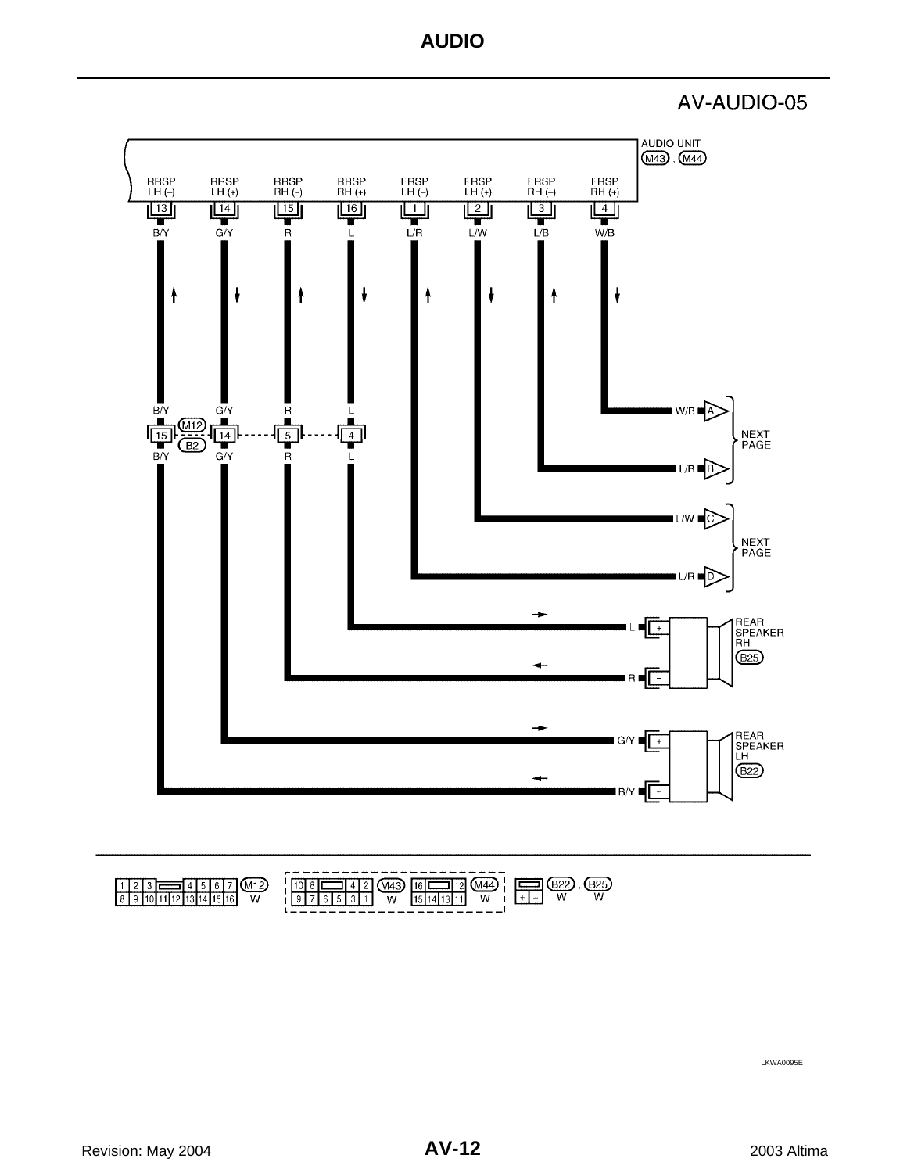AV-AUDIO-05



| ----<br>W | ----------<br>-----------<br>---<br>W<br>W<br>W<br>W<br>ـــ |
|-----------|-------------------------------------------------------------|

LKWA0095E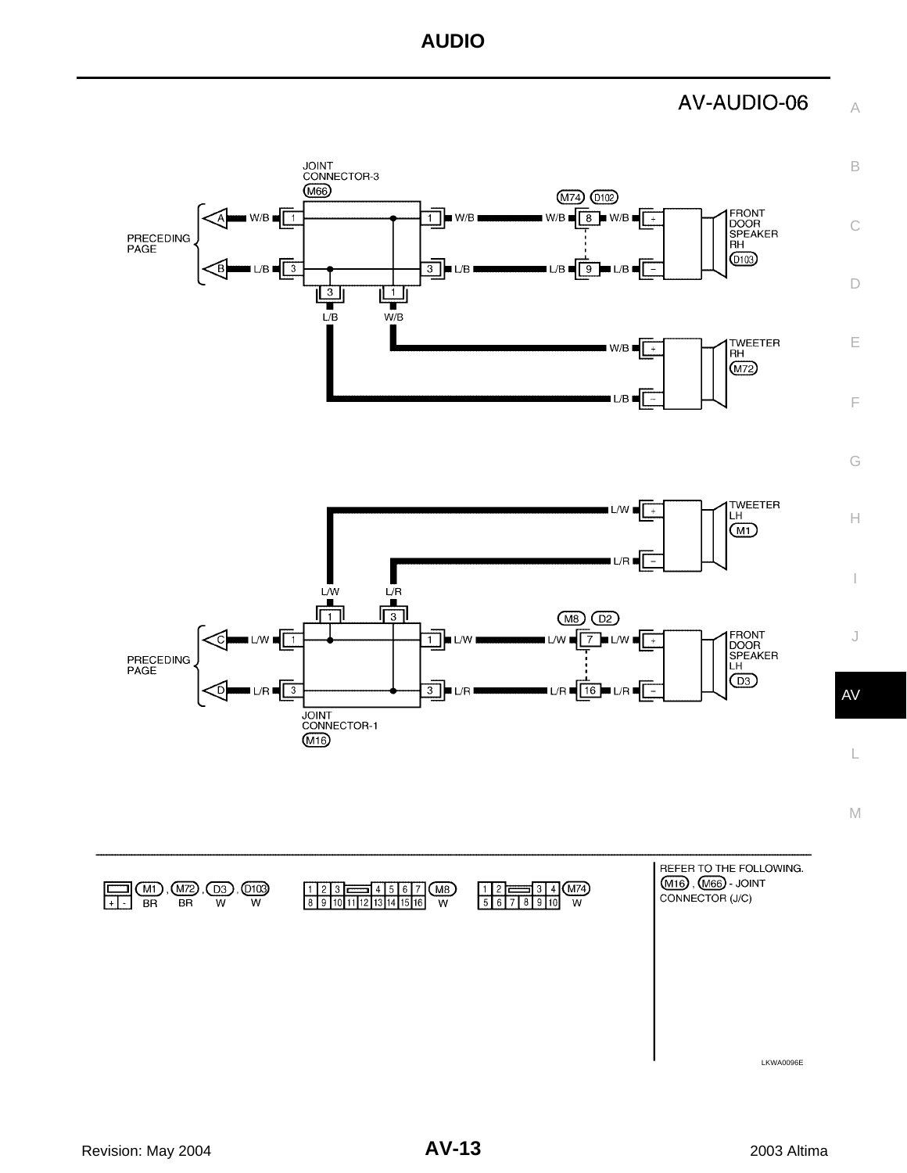AV-AUDIO-06

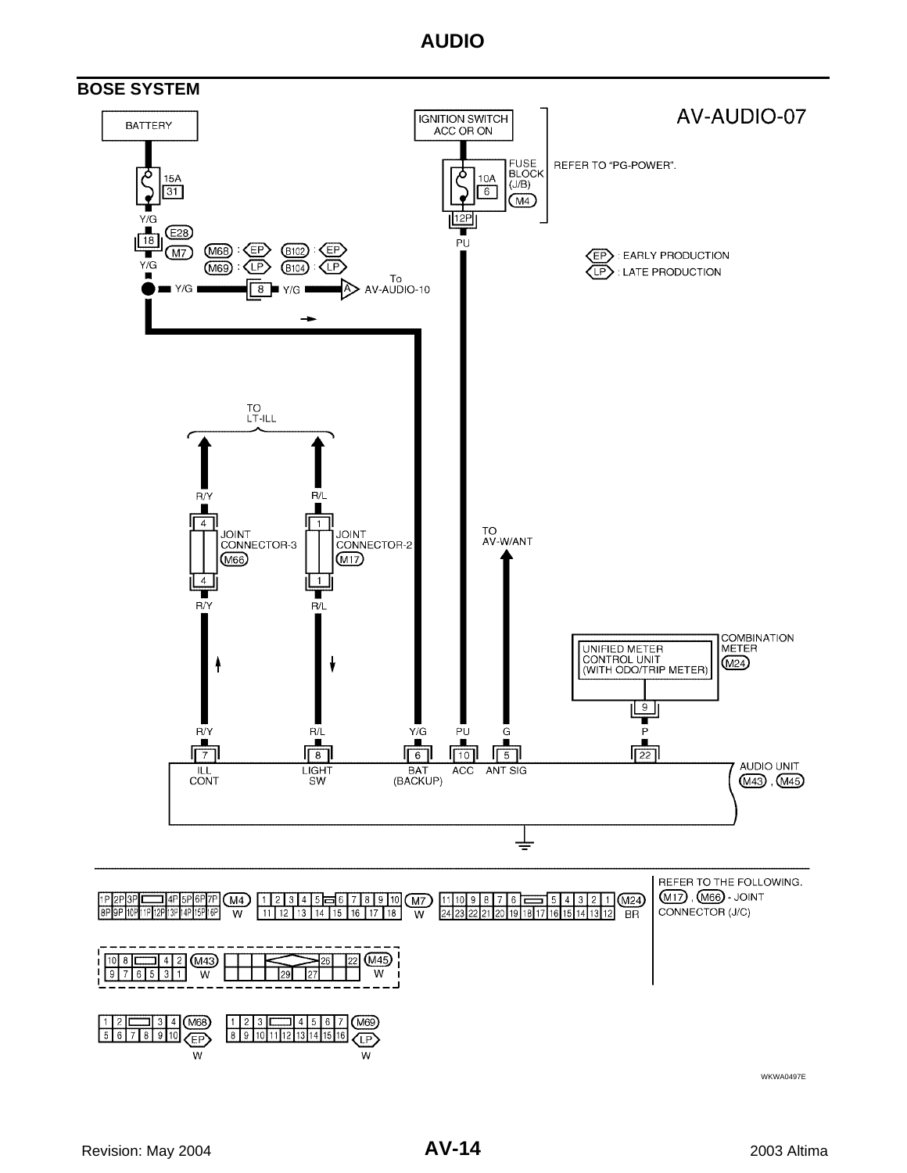<span id="page-13-0"></span>

WKWA0497E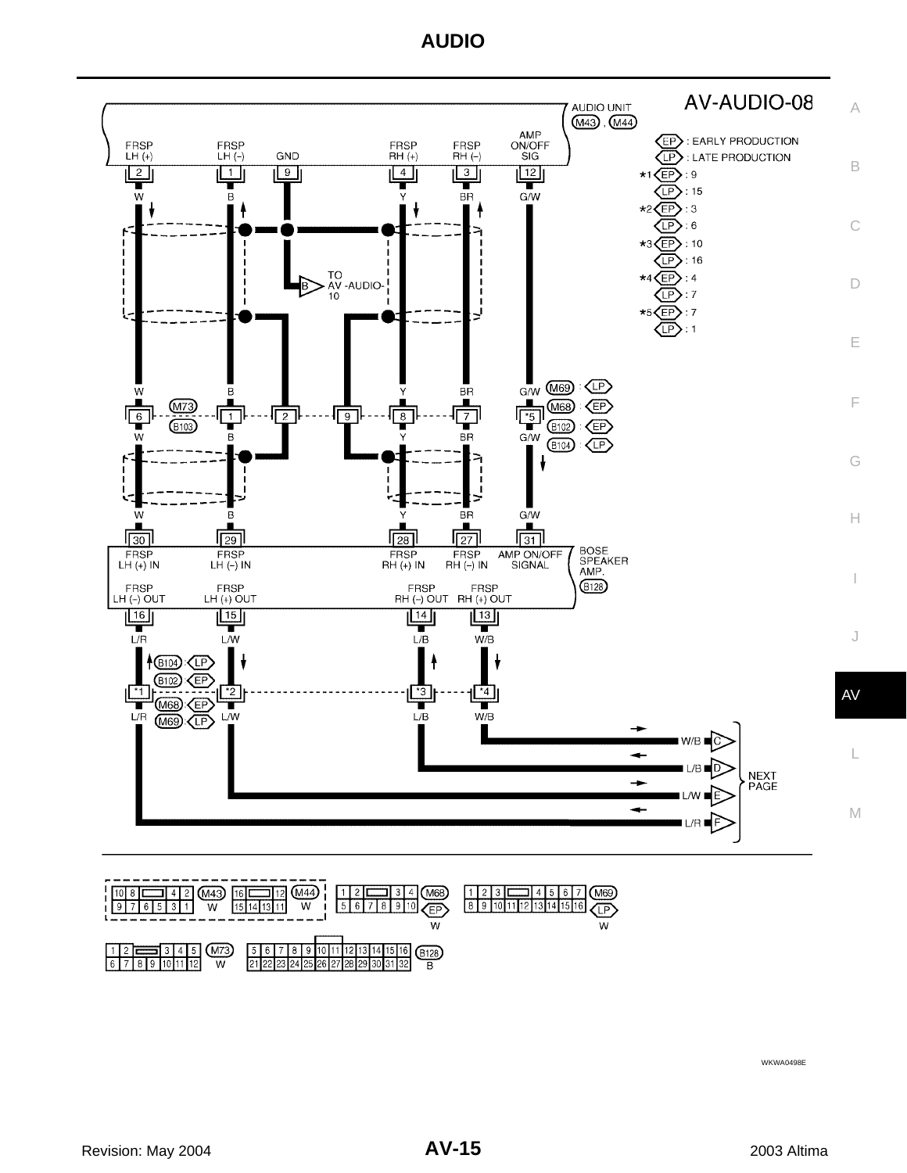



WKWA0498E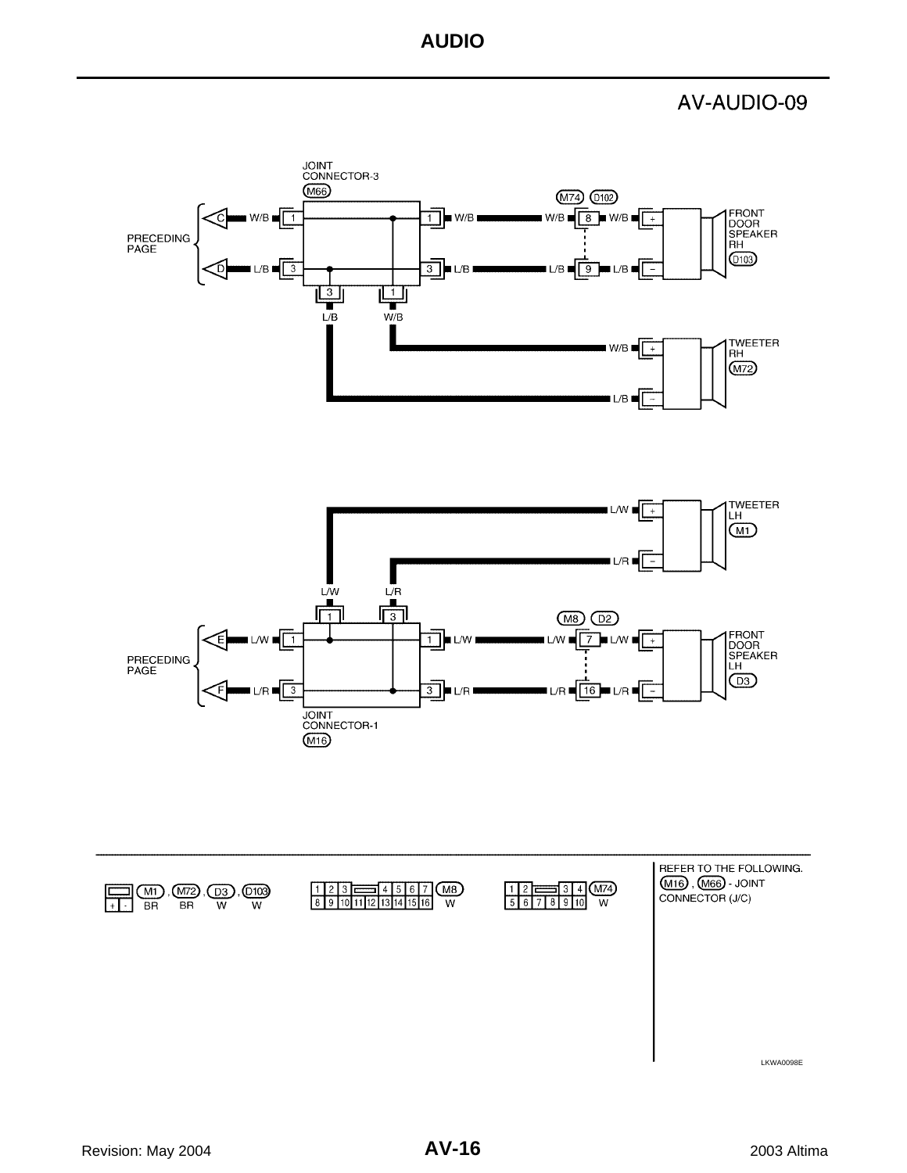AV-AUDIO-09

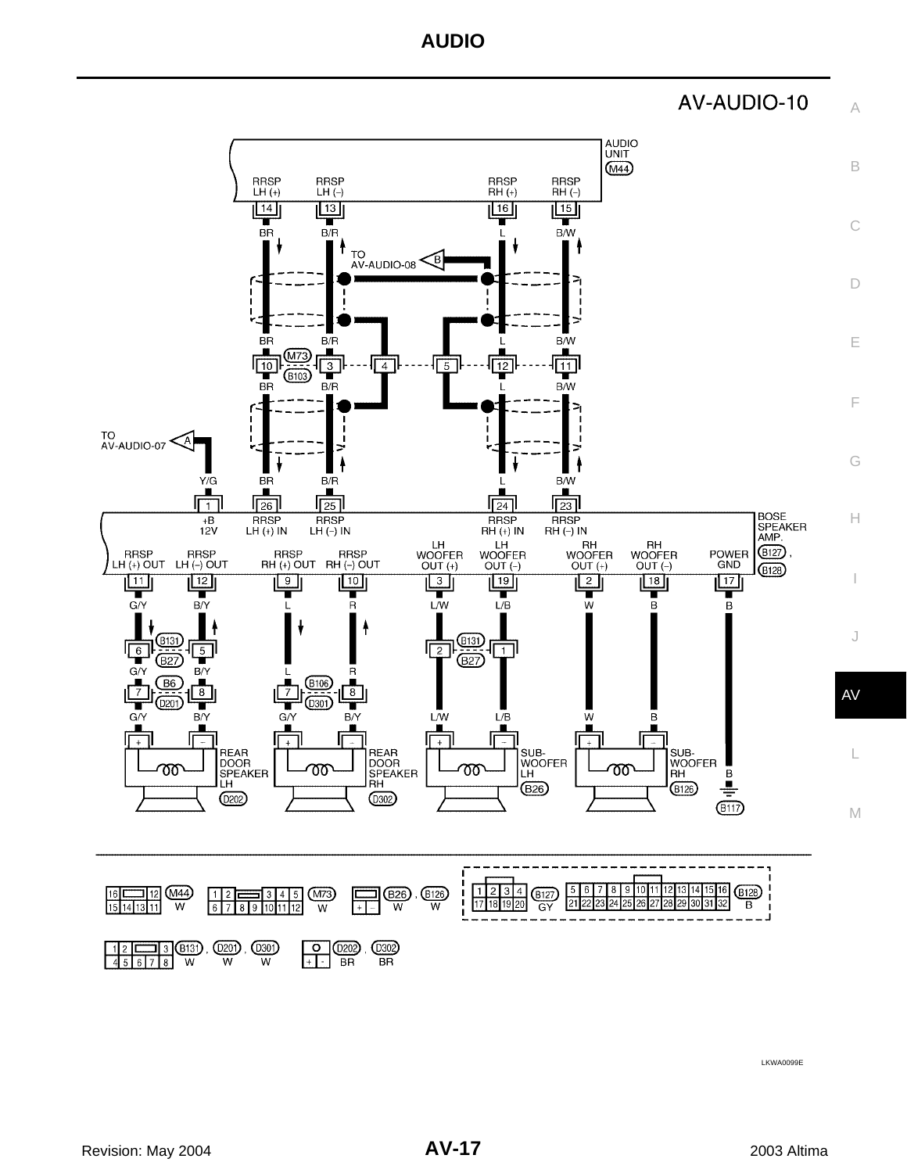AV-AUDIO-10



LKWA0099E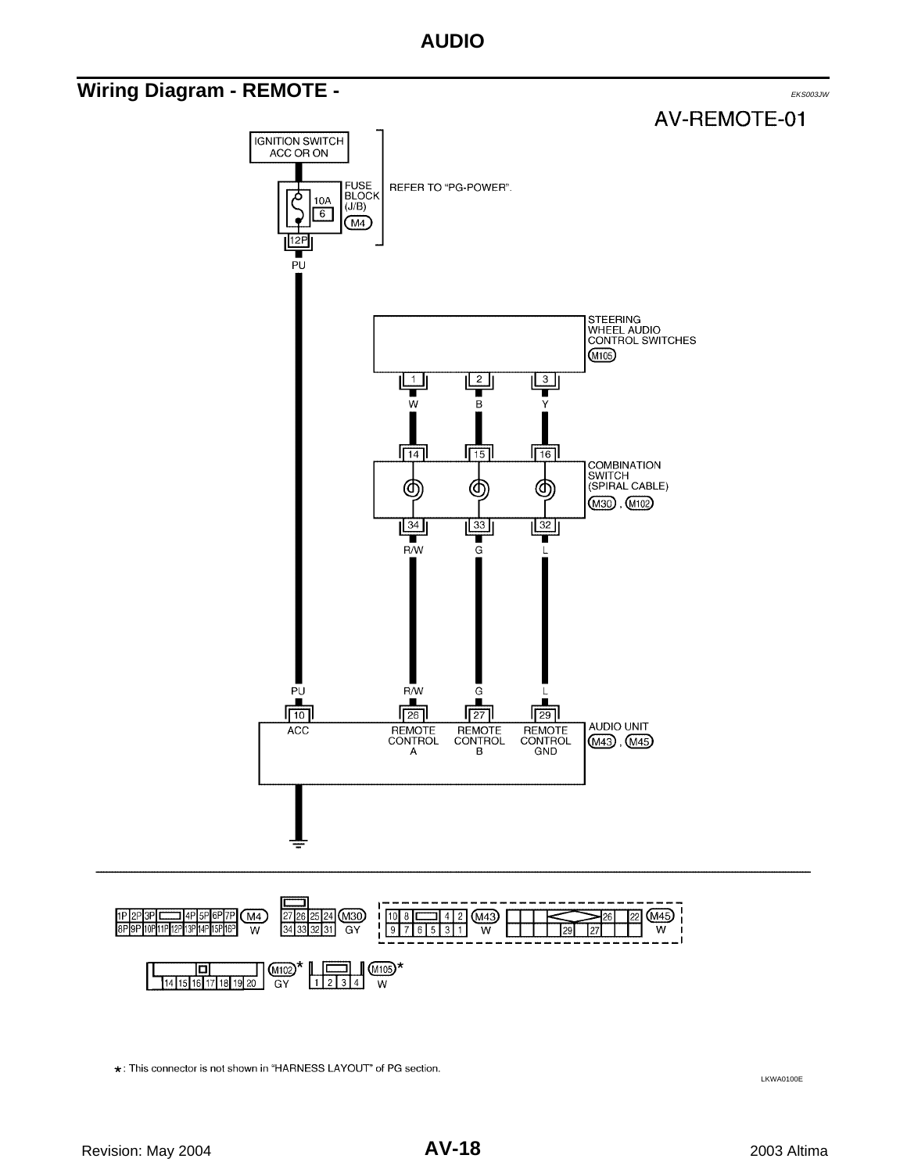### <span id="page-17-0"></span>**Wiring Diagram - REMOTE -** EXECONDER TO A LATTER THE RESONAL EXECUTIVE OF THE EXECONDUCT.





\*: This connector is not shown in "HARNESS LAYOUT" of PG section.

LKWA0100E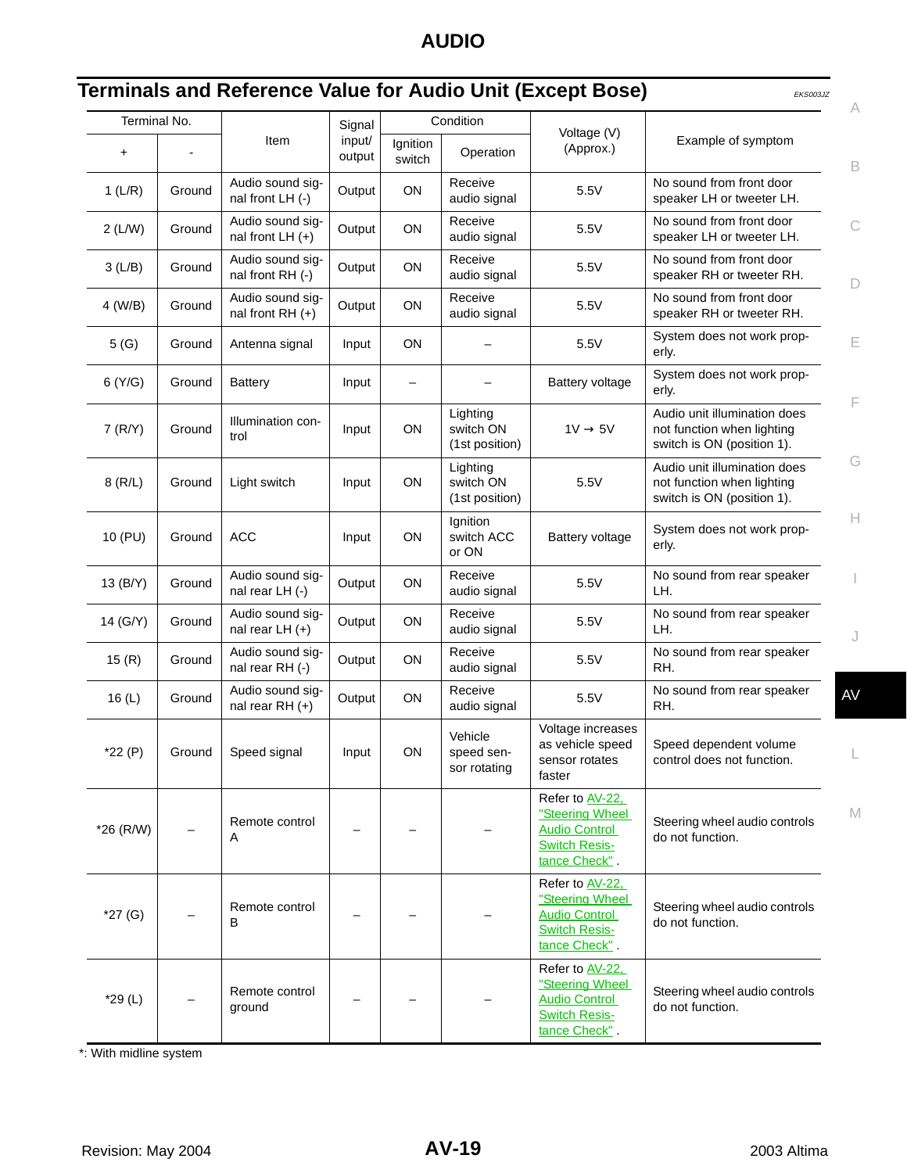<span id="page-18-0"></span>

| Terminal No. |        |                                        | Signal           |                    | Condition                               | Voltage (V)                                                                                         |                                                                                          |
|--------------|--------|----------------------------------------|------------------|--------------------|-----------------------------------------|-----------------------------------------------------------------------------------------------------|------------------------------------------------------------------------------------------|
| $\ddot{}$    |        | Item                                   | input/<br>output | Ignition<br>switch | Operation                               | (Approx.)                                                                                           | Example of symptom                                                                       |
| 1(L/R)       | Ground | Audio sound sig-<br>nal front LH (-)   | Output           | ON                 | Receive<br>audio signal                 | 5.5V                                                                                                | No sound from front door<br>speaker LH or tweeter LH.                                    |
| 2(L/W)       | Ground | Audio sound sig-<br>nal front $LH (+)$ | Output           | <b>ON</b>          | Receive<br>audio signal                 | 5.5V                                                                                                | No sound from front door<br>speaker LH or tweeter LH.                                    |
| 3(L/B)       | Ground | Audio sound sig-<br>nal front RH (-)   | Output           | ON                 | Receive<br>audio signal                 | 5.5V                                                                                                | No sound from front door<br>speaker RH or tweeter RH.                                    |
| 4 (W/B)      | Ground | Audio sound sig-<br>nal front $RH (+)$ | Output           | ON                 | Receive<br>audio signal                 | 5.5V                                                                                                | No sound from front door<br>speaker RH or tweeter RH.                                    |
| 5(G)         | Ground | Antenna signal                         | Input            | <b>ON</b>          |                                         | 5.5V                                                                                                | System does not work prop-<br>erly.                                                      |
| 6(Y/G)       | Ground | <b>Battery</b>                         | Input            |                    |                                         | <b>Battery voltage</b>                                                                              | System does not work prop-<br>erly.                                                      |
| 7(R/Y)       | Ground | Illumination con-<br>trol              | Input            | ON                 | Lighting<br>switch ON<br>(1st position) | $1V \rightarrow 5V$                                                                                 | Audio unit illumination does<br>not function when lighting<br>switch is ON (position 1). |
| $8$ (R/L)    | Ground | Light switch                           | Input            | ON                 | Lighting<br>switch ON<br>(1st position) | 5.5V                                                                                                | Audio unit illumination does<br>not function when lighting<br>switch is ON (position 1). |
| 10 (PU)      | Ground | <b>ACC</b>                             | Input            | ON                 | Ignition<br>switch ACC<br>or ON         | <b>Battery voltage</b>                                                                              | System does not work prop-<br>erly.                                                      |
| 13 (B/Y)     | Ground | Audio sound sig-<br>nal rear LH (-)    | Output           | ON                 | Receive<br>audio signal                 | 5.5V                                                                                                | No sound from rear speaker<br>LH.                                                        |
| 14 (G/Y)     | Ground | Audio sound sig-<br>nal rear $LH (+)$  | Output           | ON                 | Receive<br>audio signal                 | 5.5V                                                                                                | No sound from rear speaker<br>LH.                                                        |
| 15(R)        | Ground | Audio sound sig-<br>nal rear RH (-)    | Output           | ON                 | Receive<br>audio signal                 | 5.5V                                                                                                | No sound from rear speaker<br>RH.                                                        |
| 16(L)        | Ground | Audio sound sig-<br>nal rear RH $(+)$  | Output           | ON                 | Receive<br>audio signal                 | 5.5V                                                                                                | No sound from rear speaker<br>RH.                                                        |
| $*22(P)$     | Ground | Speed signal                           | Input            | ON                 | Vehicle<br>speed sen-<br>sor rotating   | Voltage increases<br>as vehicle speed<br>sensor rotates<br>faster                                   | Speed dependent volume<br>control does not function.                                     |
| $*26$ (R/W)  |        | Remote control<br>Α                    |                  |                    |                                         | Refer to AV-22.<br>"Steering Wheel<br><b>Audio Control</b><br><b>Switch Resis-</b><br>tance Check". | Steering wheel audio controls<br>do not function.                                        |
| $*27(G)$     |        | Remote control<br>в                    |                  |                    |                                         | Refer to AV-22.<br>"Steering Wheel<br><b>Audio Control</b><br><b>Switch Resis-</b><br>tance Check". | Steering wheel audio controls<br>do not function.                                        |
| $*29(L)$     |        | Remote control<br>ground               |                  |                    |                                         | Refer to AV-22.<br>"Steering Wheel<br><b>Audio Control</b><br><b>Switch Resis-</b><br>tance Check". | Steering wheel audio controls<br>do not function.                                        |

\*: With midline system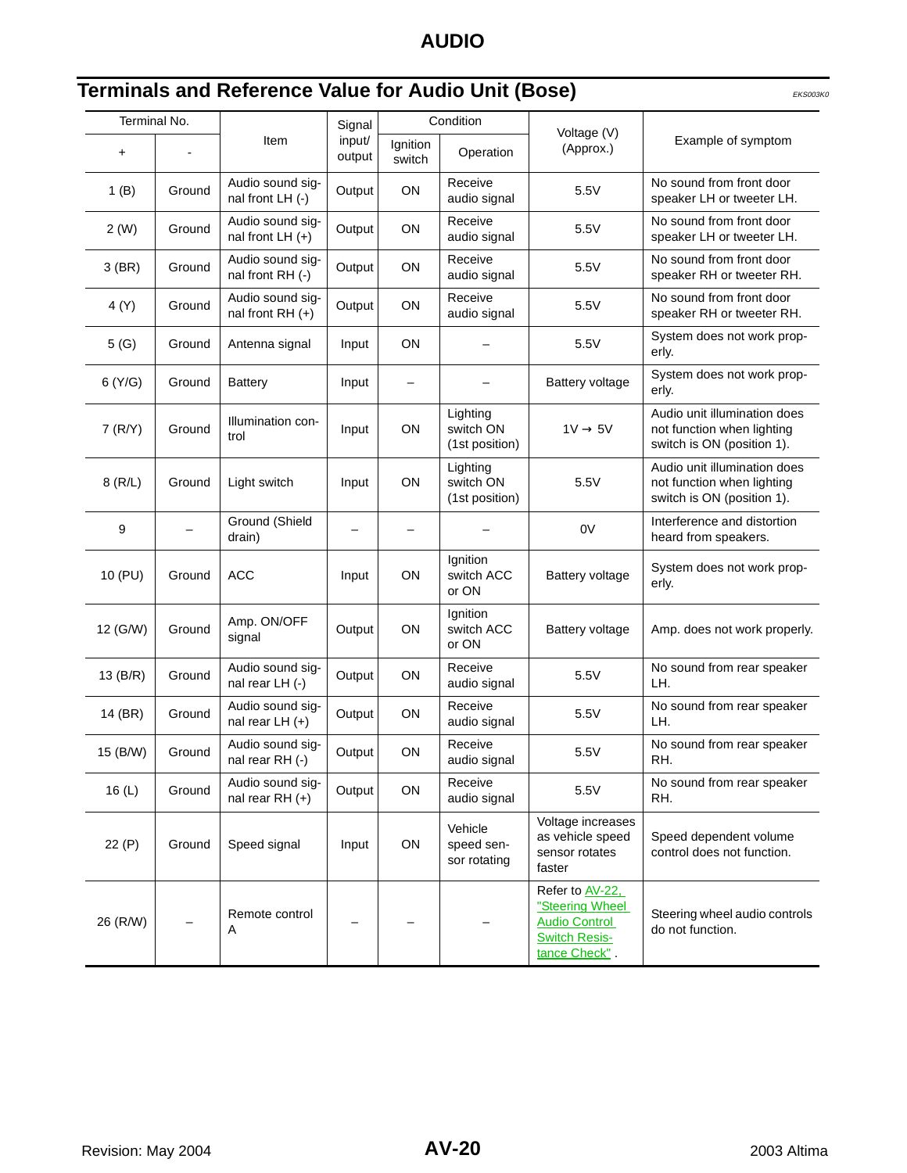| Terminal No. |        |                                         | Signal           |                    | Condition                               |                                                                                                     |                                                                                          |
|--------------|--------|-----------------------------------------|------------------|--------------------|-----------------------------------------|-----------------------------------------------------------------------------------------------------|------------------------------------------------------------------------------------------|
| +            |        | Item                                    | input/<br>output | Ignition<br>switch | Operation                               | Voltage (V)<br>(Approx.)                                                                            | Example of symptom                                                                       |
| 1(B)         | Ground | Audio sound sig-<br>nal front LH (-)    | Output           | ON                 | Receive<br>audio signal                 | 5.5V                                                                                                | No sound from front door<br>speaker LH or tweeter LH.                                    |
| 2(W)         | Ground | Audio sound sig-<br>nal front LH $(+)$  | Output           | ON                 | Receive<br>audio signal                 | 5.5V                                                                                                | No sound from front door<br>speaker LH or tweeter LH.                                    |
| $3$ (BR)     | Ground | Audio sound sig-<br>nal front RH (-)    | Output           | ON                 | Receive<br>audio signal                 | 5.5V                                                                                                | No sound from front door<br>speaker RH or tweeter RH.                                    |
| 4 (Y)        | Ground | Audio sound sig-<br>nal front RH $(+)$  | Output           | ON                 | Receive<br>audio signal                 | 5.5V                                                                                                | No sound from front door<br>speaker RH or tweeter RH.                                    |
| 5(G)         | Ground | Antenna signal                          | Input            | ON                 | $\overline{\phantom{0}}$                | 5.5V                                                                                                | System does not work prop-<br>erly.                                                      |
| 6(Y/G)       | Ground | <b>Battery</b>                          | Input            | —                  |                                         | <b>Battery voltage</b>                                                                              | System does not work prop-<br>erly.                                                      |
| 7(R/Y)       | Ground | Illumination con-<br>trol               | Input            | ON                 | Lighting<br>switch ON<br>(1st position) | $1V \rightarrow 5V$                                                                                 | Audio unit illumination does<br>not function when lighting<br>switch is ON (position 1). |
| 8(R/L)       | Ground | Light switch                            | Input            | ON                 | Lighting<br>switch ON<br>(1st position) | 5.5V                                                                                                | Audio unit illumination does<br>not function when lighting<br>switch is ON (position 1). |
| 9            |        | Ground (Shield<br>drain)                |                  |                    |                                         | 0V                                                                                                  | Interference and distortion<br>heard from speakers.                                      |
| 10 (PU)      | Ground | <b>ACC</b>                              | Input            | ON                 | Ignition<br>switch ACC<br>or ON         | Battery voltage                                                                                     | System does not work prop-<br>erly.                                                      |
| 12 (G/W)     | Ground | Amp. ON/OFF<br>signal                   | Output           | ON                 | Ignition<br>switch ACC<br>or ON         | Battery voltage                                                                                     | Amp. does not work properly.                                                             |
| 13 (B/R)     | Ground | Audio sound sig-<br>nal rear LH (-)     | Output           | ON                 | Receive<br>audio signal                 | 5.5V                                                                                                | No sound from rear speaker<br>LH.                                                        |
| 14 (BR)      | Ground | Audio sound sig-<br>nal rear $LH$ $(+)$ | Output           | ON                 | Receive<br>audio signal                 | 5.5V                                                                                                | No sound from rear speaker<br>LH.                                                        |
| 15 (B/W)     | Ground | Audio sound sig-<br>nal rear $RH$ (-)   | Output           | ON                 | Receive<br>audio signal                 | 5.5V                                                                                                | No sound from rear speaker<br>RH.                                                        |
| 16(L)        | Ground | Audio sound sig-<br>nal rear RH $(+)$   | Output           | ON                 | Receive<br>audio signal                 | 5.5V                                                                                                | No sound from rear speaker<br>RH.                                                        |
| 22(P)        | Ground | Speed signal                            | Input            | ON                 | Vehicle<br>speed sen-<br>sor rotating   | Voltage increases<br>as vehicle speed<br>sensor rotates<br>faster                                   | Speed dependent volume<br>control does not function.                                     |
| 26 (R/W)     |        | Remote control<br>A                     |                  |                    |                                         | Refer to AV-22,<br>"Steering Wheel<br><b>Audio Control</b><br><b>Switch Resis-</b><br>tance Check". | Steering wheel audio controls<br>do not function.                                        |

### <span id="page-19-0"></span>**Terminals and Reference Value for Audio Unit (Bose)** EKS003K0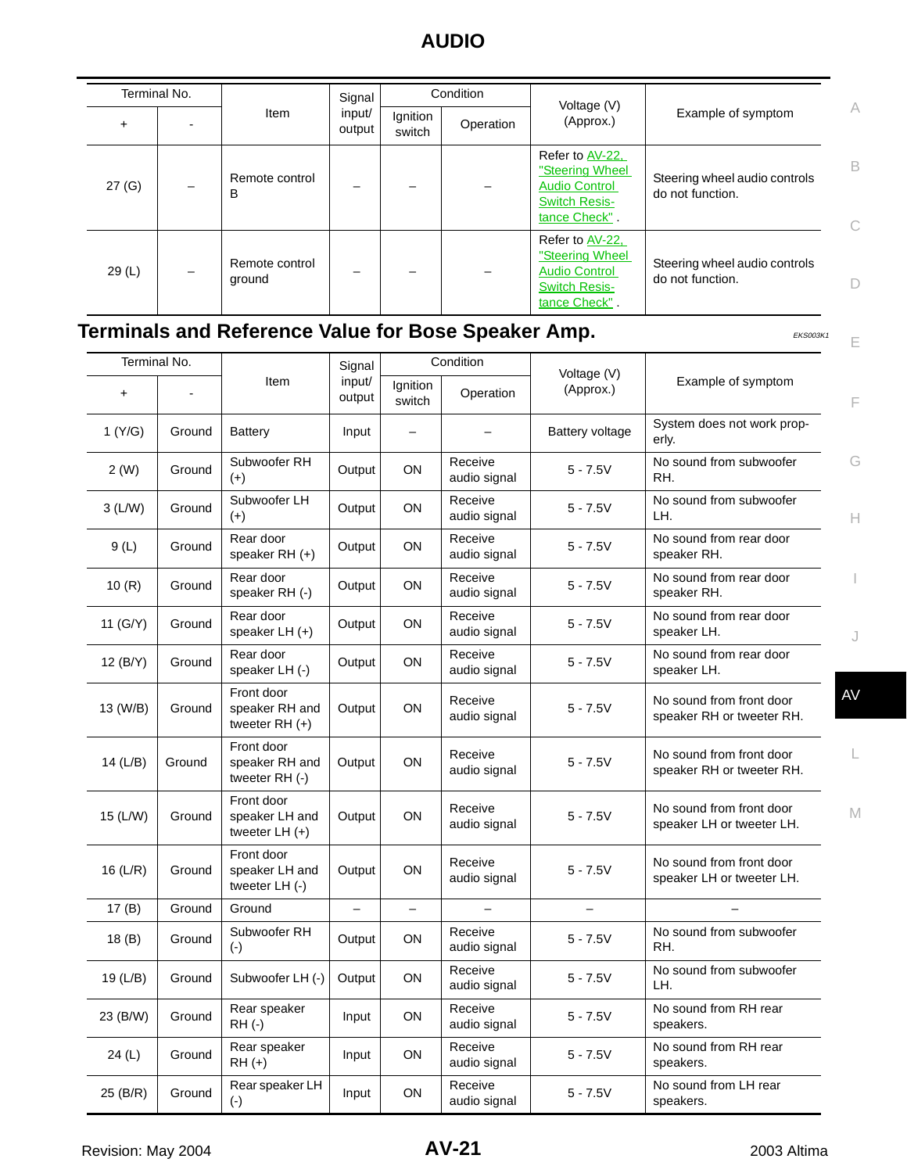|          | Terminal No.             |                          | Signal           |                    | Condition | Voltage (V)                                                                                         |                                                   |        |
|----------|--------------------------|--------------------------|------------------|--------------------|-----------|-----------------------------------------------------------------------------------------------------|---------------------------------------------------|--------|
| ÷.       |                          | Item                     | input/<br>output | Ignition<br>switch | Operation | (Approx.)                                                                                           | Example of symptom                                | A      |
| 27 (G)   | $\overline{\phantom{0}}$ | Remote control<br>В      |                  |                    |           | Refer to AV-22,<br>"Steering Wheel<br><b>Audio Control</b><br><b>Switch Resis-</b><br>tance Check". | Steering wheel audio controls<br>do not function. | B<br>n |
| 29 $(L)$ | -                        | Remote control<br>ground |                  |                    |           | Refer to AV-22,<br>"Steering Wheel<br><b>Audio Control</b><br><b>Switch Resis-</b><br>tance Check". | Steering wheel audio controls<br>do not function. | n      |

### <span id="page-20-0"></span>**Terminals and Reference Value for Bose Speaker Amp.** EXEDIGNTY EXSOORK1

|            | Terminal No. | Condition<br>Signal                              |                          |                          |                         |                          |                                                       |
|------------|--------------|--------------------------------------------------|--------------------------|--------------------------|-------------------------|--------------------------|-------------------------------------------------------|
| $\ddot{}$  |              | Item                                             | input/<br>output         | Ignition<br>switch       | Operation               | Voltage (V)<br>(Approx.) | Example of symptom                                    |
| 1 (Y/G)    | Ground       | Battery                                          | Input                    |                          |                         | <b>Battery voltage</b>   | System does not work prop-<br>erly.                   |
| 2(W)       | Ground       | Subwoofer RH<br>$(+)$                            | Output                   | ON                       | Receive<br>audio signal | $5 - 7.5V$               | No sound from subwoofer<br>RH.                        |
| 3(L/W)     | Ground       | Subwoofer LH<br>$(+)$                            | Output                   | ON                       | Receive<br>audio signal | $5 - 7.5V$               | No sound from subwoofer<br>LH.                        |
| 9(L)       | Ground       | Rear door<br>speaker RH (+)                      | Output                   | ON                       | Receive<br>audio signal | $5 - 7.5V$               | No sound from rear door<br>speaker RH.                |
| 10(R)      | Ground       | Rear door<br>speaker RH (-)                      | Output                   | ON                       | Receive<br>audio signal | $5 - 7.5V$               | No sound from rear door<br>speaker RH.                |
| 11 (G/Y)   | Ground       | Rear door<br>speaker LH (+)                      | Output                   | ON                       | Receive<br>audio signal | $5 - 7.5V$               | No sound from rear door<br>speaker LH.                |
| 12 (B/Y)   | Ground       | Rear door<br>speaker LH (-)                      | Output                   | ON                       | Receive<br>audio signal | $5 - 7.5V$               | No sound from rear door<br>speaker LH.                |
| 13 (W/B)   | Ground       | Front door<br>speaker RH and<br>tweeter $RH (+)$ | Output                   | ON                       | Receive<br>audio signal | $5 - 7.5V$               | No sound from front door<br>speaker RH or tweeter RH. |
| 14 (L/B)   | Ground       | Front door<br>speaker RH and<br>tweeter RH (-)   | Output                   | ON                       | Receive<br>audio signal | $5 - 7.5V$               | No sound from front door<br>speaker RH or tweeter RH. |
| 15 (L/W)   | Ground       | Front door<br>speaker LH and<br>tweeter $LH (+)$ | Output                   | ON                       | Receive<br>audio signal | $5 - 7.5V$               | No sound from front door<br>speaker LH or tweeter LH. |
| 16 $(L/R)$ | Ground       | Front door<br>speaker LH and<br>tweeter LH (-)   | Output                   | ON                       | Receive<br>audio signal | $5 - 7.5V$               | No sound from front door<br>speaker LH or tweeter LH. |
| 17(B)      | Ground       | Ground                                           | $\overline{\phantom{m}}$ | $\overline{\phantom{m}}$ |                         | $\equiv$                 |                                                       |
| 18(B)      | Ground       | Subwoofer RH<br>$(\cdot)$                        | Output                   | ON                       | Receive<br>audio signal | $5 - 7.5V$               | No sound from subwoofer<br>RH.                        |
| 19 (L/B)   | Ground       | Subwoofer LH (-)                                 | Output                   | ON                       | Receive<br>audio signal | $5 - 7.5V$               | No sound from subwoofer<br>LH.                        |
| 23 (B/W)   | Ground       | Rear speaker<br>RH (-)                           | Input                    | ON                       | Receive<br>audio signal | $5 - 7.5V$               | No sound from RH rear<br>speakers.                    |
| 24 (L)     | Ground       | Rear speaker<br>$RH (+)$                         | Input                    | ON                       | Receive<br>audio signal | $5 - 7.5V$               | No sound from RH rear<br>speakers.                    |
| 25 (B/R)   | Ground       | Rear speaker LH<br>$(\cdot)$                     | Input                    | ON                       | Receive<br>audio signal | $5 - 7.5V$               | No sound from LH rear<br>speakers.                    |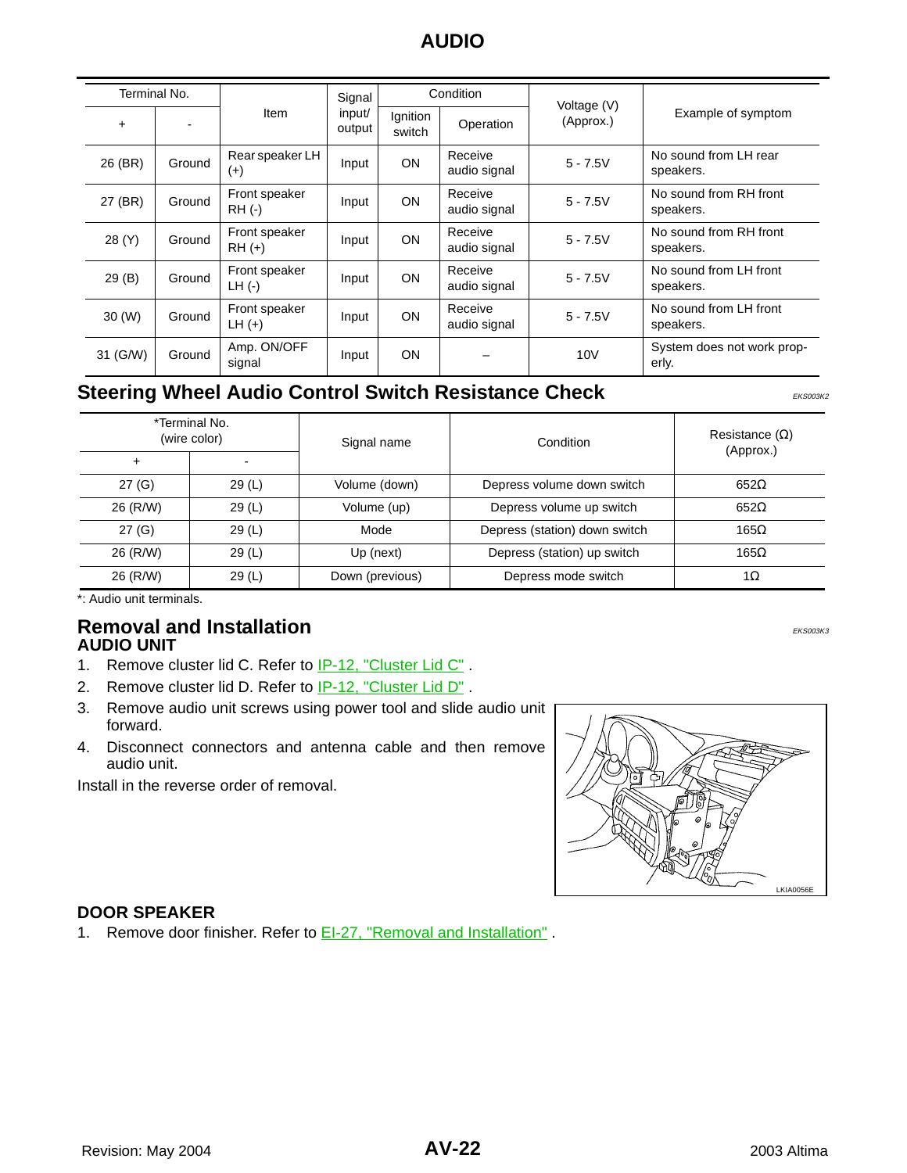| Terminal No.          |        |                           |                  | Condition<br>Signal |                         | Voltage (V) |                                     |
|-----------------------|--------|---------------------------|------------------|---------------------|-------------------------|-------------|-------------------------------------|
| $\ddot{}$             |        | Item                      | input/<br>output | Ignition<br>switch  | Operation               | (Approx.)   | Example of symptom                  |
| 26 (BR)               | Ground | Rear speaker LH<br>$(+)$  | Input            | <b>ON</b>           | Receive<br>audio signal | $5 - 7.5V$  | No sound from LH rear<br>speakers.  |
| 27 (BR)               | Ground | Front speaker<br>$RH$ (-) | Input            | <b>ON</b>           | Receive<br>audio signal | $5 - 7.5V$  | No sound from RH front<br>speakers. |
| 28 (Y)                | Ground | Front speaker<br>$RH (+)$ | Input            | <b>ON</b>           | Receive<br>audio signal | $5 - 7.5V$  | No sound from RH front<br>speakers. |
| 29(B)                 | Ground | Front speaker<br>$LH$ (-) | Input            | <b>ON</b>           | Receive<br>audio signal | $5 - 7.5V$  | No sound from LH front<br>speakers. |
| $30 \left( W \right)$ | Ground | Front speaker<br>$LH (+)$ | Input            | <b>ON</b>           | Receive<br>audio signal | $5 - 7.5V$  | No sound from LH front<br>speakers. |
| 31 (G/W)              | Ground | Amp. ON/OFF<br>signal     | Input            | <b>ON</b>           |                         | 10V         | System does not work prop-<br>erly. |

### <span id="page-21-0"></span>**Steering Wheel Audio Control Switch Resistance Check** EXERIGNIZION EKS003K2

\*Terminal No. (wire color) Signal name Condition Resistance (Ω) (Approx.) + - 27 (G) 29 (L) Volume (down) Depress volume down switch 652Ω  $26$  (R/W)  $29$  (L)  $\phantom{0}$  Volume (up) Depress volume up switch 652 $\Omega$ 27 (G) 29 (L) Mode Depress (station) down switch 165Ω  $26$  (R/W) 29 (L) Up (next) Depress (station) up switch 165 $\Omega$ 26 (R/W) 29 (L) Down (previous) Depress mode switch 1Ω

\*: Audio unit terminals.

#### <span id="page-21-2"></span><span id="page-21-1"></span>**Removal and Installation** Experimental EXS003K3 **AUDIO UNIT**

- 1. Remove cluster lid C. Refer to **IP-12**, "Cluster Lid C".
- 2. Remove cluster lid D. Refer to IP-12, "Cluster Lid D" .
- 3. Remove audio unit screws using power tool and slide audio unit forward.
- 4. Disconnect connectors and antenna cable and then remove audio unit.

Install in the reverse order of removal.



#### <span id="page-21-3"></span>**DOOR SPEAKER**

1. Remove door finisher. Refer to **EI-27**, "Removal and Installation".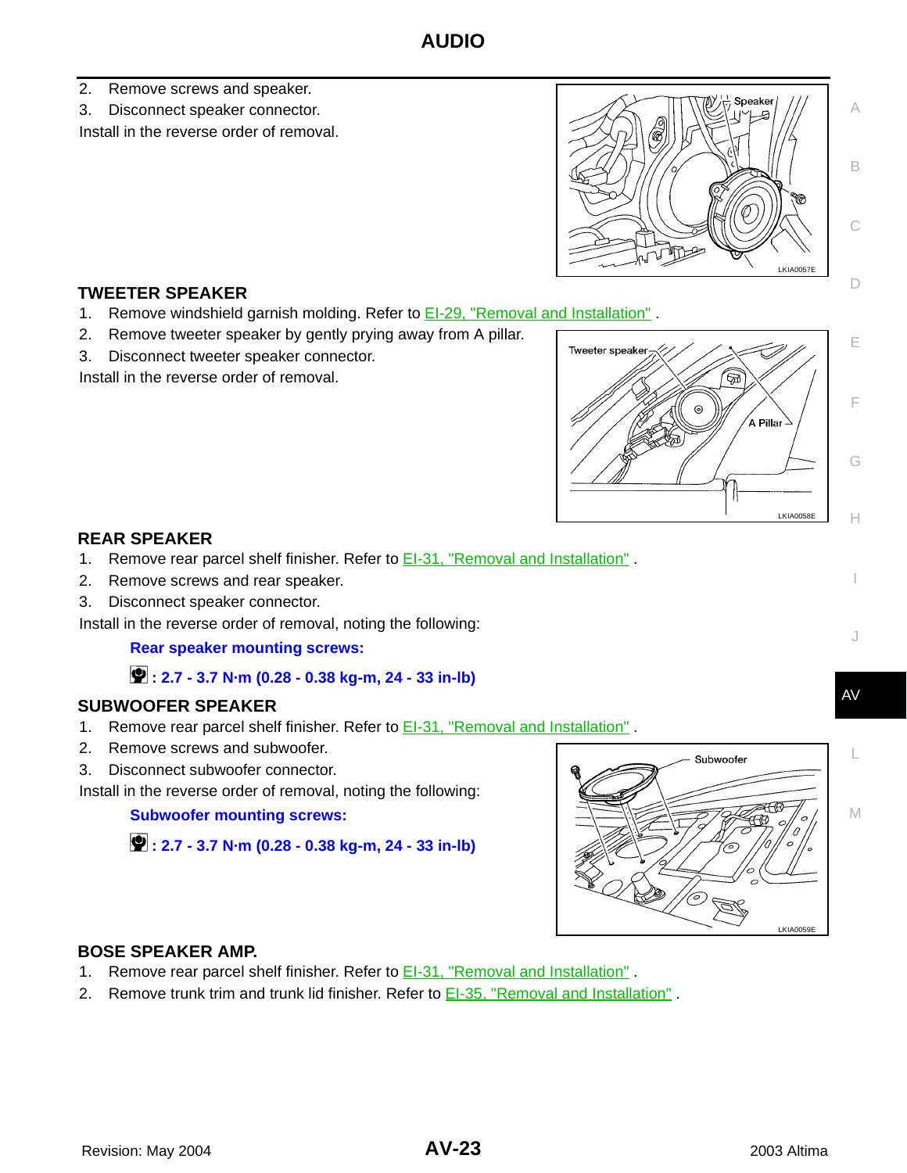- 2. Remove screws and speaker.
- 3. Disconnect speaker connector.

Install in the reverse order of removal.



#### <span id="page-22-0"></span>**TWEETER SPEAKER**

- 1. Remove windshield garnish molding. Refer to **EI-29, "Removal and Installation"**.
- 2. Remove tweeter speaker by gently prying away from A pillar.
- 3. Disconnect tweeter speaker connector.

Install in the reverse order of removal.



#### <span id="page-22-1"></span>**REAR SPEAKER**

- 1. Remove rear parcel shelf finisher. Refer to **EI-31**, "Removal and Installation".
- 2. Remove screws and rear speaker.
- 3. Disconnect speaker connector.

Install in the reverse order of removal, noting the following:

**Rear speaker mounting screws:**

#### **: 2.7 - 3.7 N·m (0.28 - 0.38 kg-m, 24 - 33 in-lb)**

#### <span id="page-22-2"></span>**SUBWOOFER SPEAKER**

- 1. Remove rear parcel shelf finisher. Refer to EI-31, "Removal and Installation" .
- 2. Remove screws and subwoofer.
- 3. Disconnect subwoofer connector.

Install in the reverse order of removal, noting the following:

**Subwoofer mounting screws:**

 **: 2.7 - 3.7 N·m (0.28 - 0.38 kg-m, 24 - 33 in-lb)**



#### <span id="page-22-3"></span>**BOSE SPEAKER AMP.**

- 1. Remove rear parcel shelf finisher. Refer to **EI-31, "Removal and Installation"**.
- 2. Remove trunk trim and trunk lid finisher. Refer to **EI-35**, "Removal and Installation".

D

E

F

G

H

I

J

L

AV

M

C

A

B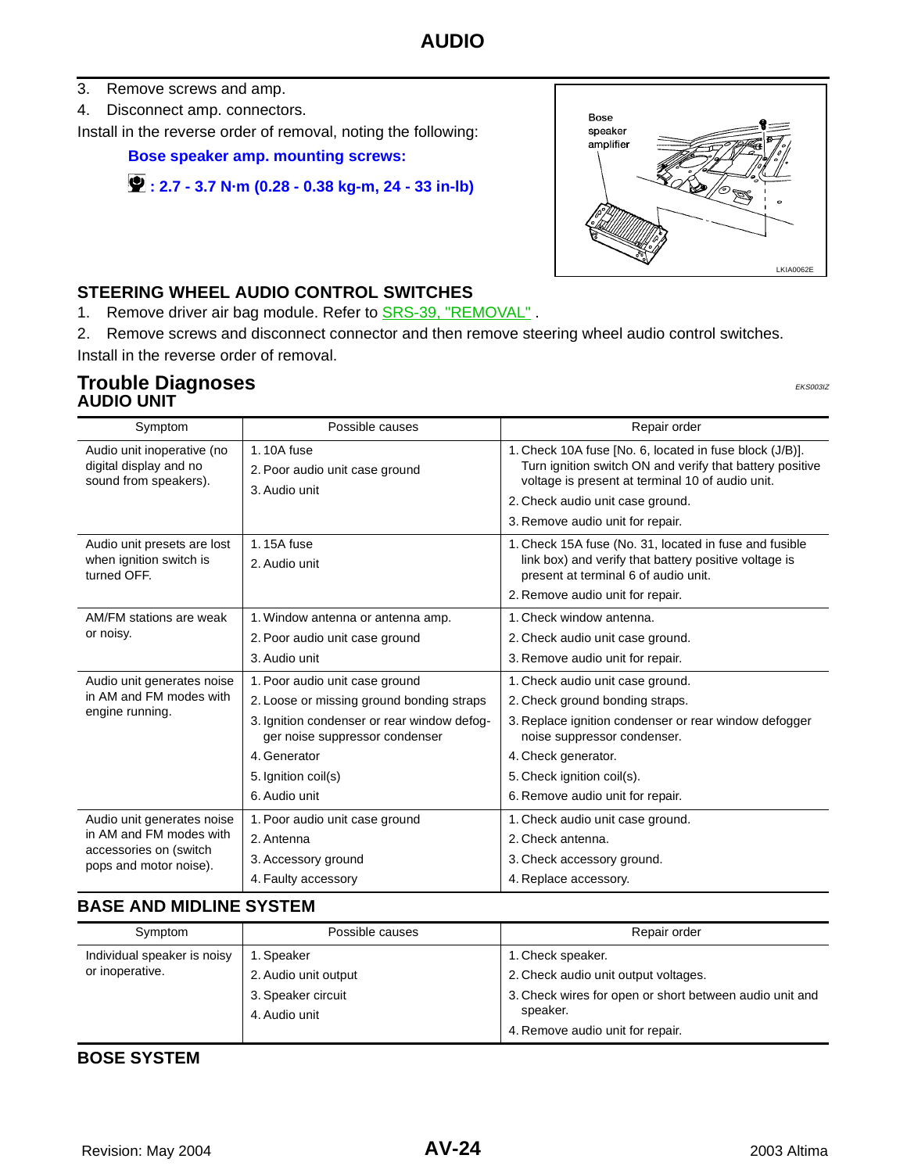- 3. Remove screws and amp.
- 4. Disconnect amp. connectors.

Install in the reverse order of removal, noting the following:

**Bose speaker amp. mounting screws:**

```
 : 2.7 - 3.7 N·m (0.28 - 0.38 kg-m, 24 - 33 in-lb)
```


#### <span id="page-23-0"></span>**STEERING WHEEL AUDIO CONTROL SWITCHES**

1. Remove driver air bag module. Refer to **SRS-39, "REMOVAL"**.

2. Remove screws and disconnect connector and then remove steering wheel audio control switches. Install in the reverse order of removal.

#### <span id="page-23-2"></span><span id="page-23-1"></span>**Trouble Diagnoses** EXASSED FOR THE RESONAL EXASURATION OF THE RESONAL EXASURATION OF THE EXSOLUTION OF THE RESONAL EXASURATION OF THE **EXSOLUTION AUDIO UNIT**

| Symptom                                                                       | Possible causes                                                               | Repair order                                                                                                                                                                                                                                    |  |
|-------------------------------------------------------------------------------|-------------------------------------------------------------------------------|-------------------------------------------------------------------------------------------------------------------------------------------------------------------------------------------------------------------------------------------------|--|
| Audio unit inoperative (no<br>digital display and no<br>sound from speakers). | 1.10A fuse<br>2. Poor audio unit case ground<br>3. Audio unit                 | 1. Check 10A fuse [No. 6, located in fuse block (J/B)].<br>Turn ignition switch ON and verify that battery positive<br>voltage is present at terminal 10 of audio unit.<br>2. Check audio unit case ground.<br>3. Remove audio unit for repair. |  |
| Audio unit presets are lost<br>when ignition switch is<br>turned OFF.         | 1.15A fuse<br>2. Audio unit                                                   | 1. Check 15A fuse (No. 31, located in fuse and fusible<br>link box) and verify that battery positive voltage is<br>present at terminal 6 of audio unit.<br>2. Remove audio unit for repair.                                                     |  |
| AM/FM stations are weak                                                       | 1. Window antenna or antenna amp.                                             | 1. Check window antenna.                                                                                                                                                                                                                        |  |
| or noisy.                                                                     | 2. Poor audio unit case ground                                                | 2. Check audio unit case ground.                                                                                                                                                                                                                |  |
|                                                                               | 3. Audio unit                                                                 | 3. Remove audio unit for repair.                                                                                                                                                                                                                |  |
| Audio unit generates noise                                                    | 1. Poor audio unit case ground                                                | 1. Check audio unit case ground.                                                                                                                                                                                                                |  |
| in AM and FM modes with                                                       | 2. Loose or missing ground bonding straps                                     | 2. Check ground bonding straps.                                                                                                                                                                                                                 |  |
| engine running.                                                               | 3. Ignition condenser or rear window defog-<br>ger noise suppressor condenser | 3. Replace ignition condenser or rear window defogger<br>noise suppressor condenser.                                                                                                                                                            |  |
|                                                                               | 4. Generator                                                                  | 4. Check generator.                                                                                                                                                                                                                             |  |
|                                                                               | 5. Ignition coil(s)                                                           | 5. Check ignition coil(s).                                                                                                                                                                                                                      |  |
|                                                                               | 6. Audio unit                                                                 | 6. Remove audio unit for repair.                                                                                                                                                                                                                |  |
| Audio unit generates noise                                                    | 1. Poor audio unit case ground                                                | 1. Check audio unit case ground.                                                                                                                                                                                                                |  |
| in AM and FM modes with<br>accessories on (switch<br>pops and motor noise).   | 2. Antenna                                                                    | 2. Check antenna.                                                                                                                                                                                                                               |  |
|                                                                               | 3. Accessory ground                                                           | 3. Check accessory ground.                                                                                                                                                                                                                      |  |
|                                                                               | 4. Faulty accessory                                                           | 4. Replace accessory.                                                                                                                                                                                                                           |  |

#### <span id="page-23-3"></span>**BASE AND MIDLINE SYSTEM**

| Symptom                     | Possible causes      | Repair order                                            |
|-----------------------------|----------------------|---------------------------------------------------------|
| Individual speaker is noisy | 1. Speaker           | 1. Check speaker.                                       |
| or inoperative.             | 2. Audio unit output | 2. Check audio unit output voltages.                    |
|                             | 3. Speaker circuit   | 3. Check wires for open or short between audio unit and |
|                             | 4. Audio unit        | speaker.<br>4. Remove audio unit for repair.            |

#### <span id="page-23-4"></span>**BOSE SYSTEM**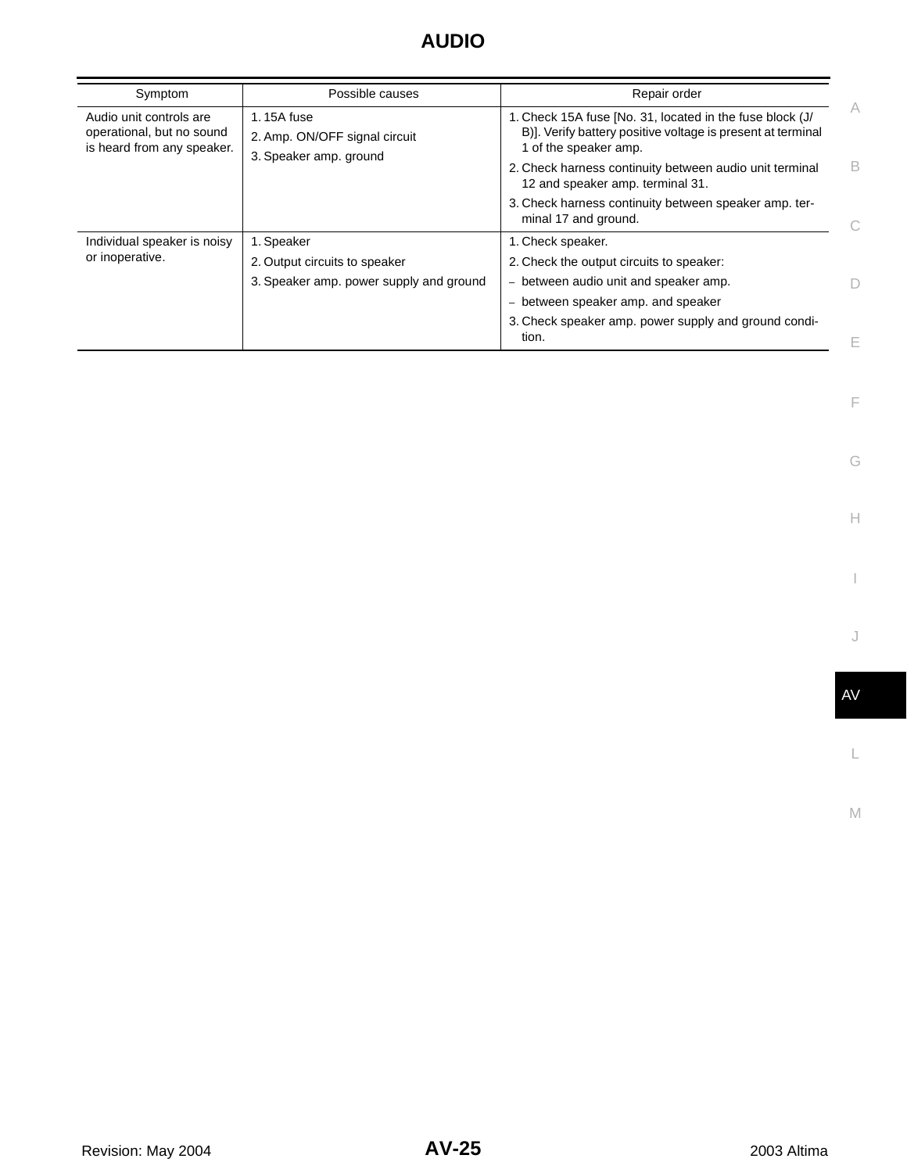| Symptom                                                                            | Possible causes                                                       | Repair order                                                                                                                                     |   |
|------------------------------------------------------------------------------------|-----------------------------------------------------------------------|--------------------------------------------------------------------------------------------------------------------------------------------------|---|
| Audio unit controls are<br>operational, but no sound<br>is heard from any speaker. | 1.15A fuse<br>2. Amp. ON/OFF signal circuit<br>3. Speaker amp. ground | 1. Check 15A fuse [No. 31, located in the fuse block (J/<br>B)]. Verify battery positive voltage is present at terminal<br>1 of the speaker amp. | A |
|                                                                                    |                                                                       | 2. Check harness continuity between audio unit terminal<br>12 and speaker amp. terminal 31.                                                      | B |
|                                                                                    |                                                                       | 3. Check harness continuity between speaker amp. ter-<br>minal 17 and ground.                                                                    |   |
| Individual speaker is noisy<br>or inoperative.                                     | 1. Speaker                                                            | 1. Check speaker.                                                                                                                                |   |
|                                                                                    | 2. Output circuits to speaker                                         | 2. Check the output circuits to speaker:                                                                                                         |   |
|                                                                                    | 3. Speaker amp. power supply and ground                               | between audio unit and speaker amp.<br>$\overline{\phantom{0}}$                                                                                  |   |
|                                                                                    |                                                                       | between speaker amp. and speaker<br>-                                                                                                            |   |
|                                                                                    |                                                                       | 3. Check speaker amp. power supply and ground condi-<br>tion.                                                                                    | E |

I

F

G

 $\mathrel{\vdash}\mathrel{\vdash}$ 

L

 $\mathbb N$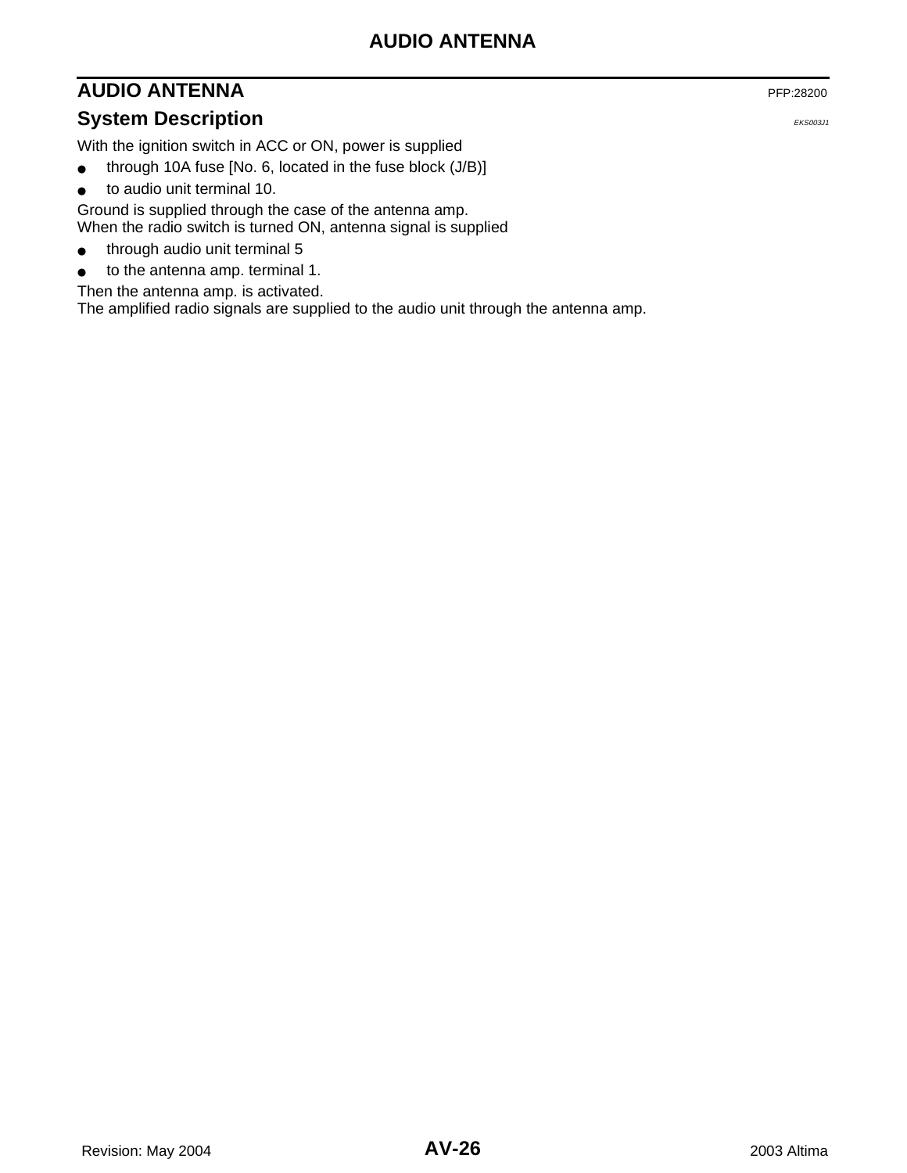### <span id="page-25-0"></span>**AUDIO ANTENNA** PFP:28200

### <span id="page-25-1"></span>**System Description** EXAMPLE 2003J1

With the ignition switch in ACC or ON, power is supplied

- through 10A fuse [No. 6, located in the fuse block (J/B)]
- to audio unit terminal 10.

Ground is supplied through the case of the antenna amp. When the radio switch is turned ON, antenna signal is supplied

- through audio unit terminal 5
- to the antenna amp. terminal 1.

Then the antenna amp. is activated.

The amplified radio signals are supplied to the audio unit through the antenna amp.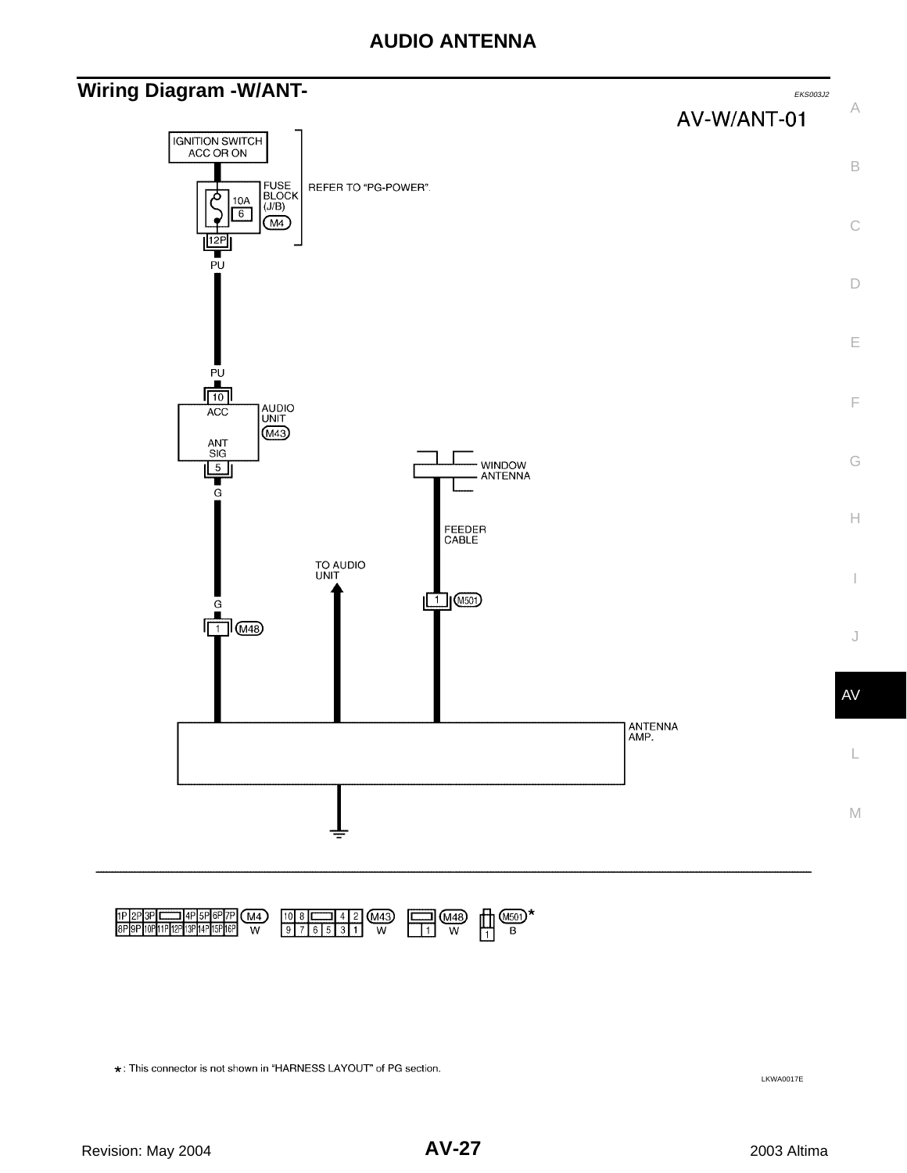### <span id="page-26-0"></span>**Wiring Diagram -W/ANT-** EXECONDENT AND REASONAL EXECONDENT AND REASONAL EXECONDENT AND REASONAL EXECONDENT AND REASONAL EXECONDENT AND REASONAL EXECONDENT AND REASONAL EXECUTIVE OF THE **EXECONDENT AND REASONAL EXECUTIVE O**



 $\begin{array}{|c|c|c|c|c|c|c|c|c|} \hline 10 & 8 & \text{---} & 4 & 2 & \text{(M43)} \\ \hline 9 & 7 & 6 & 5 & 3 & 1 & \text{---} & \text{---} \\ \hline \end{array}$ 1P 2P 3P CCC 4P 5P 6P 7P<br>8P 9P 10P 11P 12P 13P 14P 15P 16P  $\circled{\scriptstyle \mathsf{M4}}$  $\begin{array}{ccc} \hline \text{1} & \text{0} & \text{0} \\ \hline \text{1} & \text{0} & \text{0} \\ \hline \end{array}$  $\overline{w}$ 

\*: This connector is not shown in "HARNESS LAYOUT" of PG section.

LKWA0017E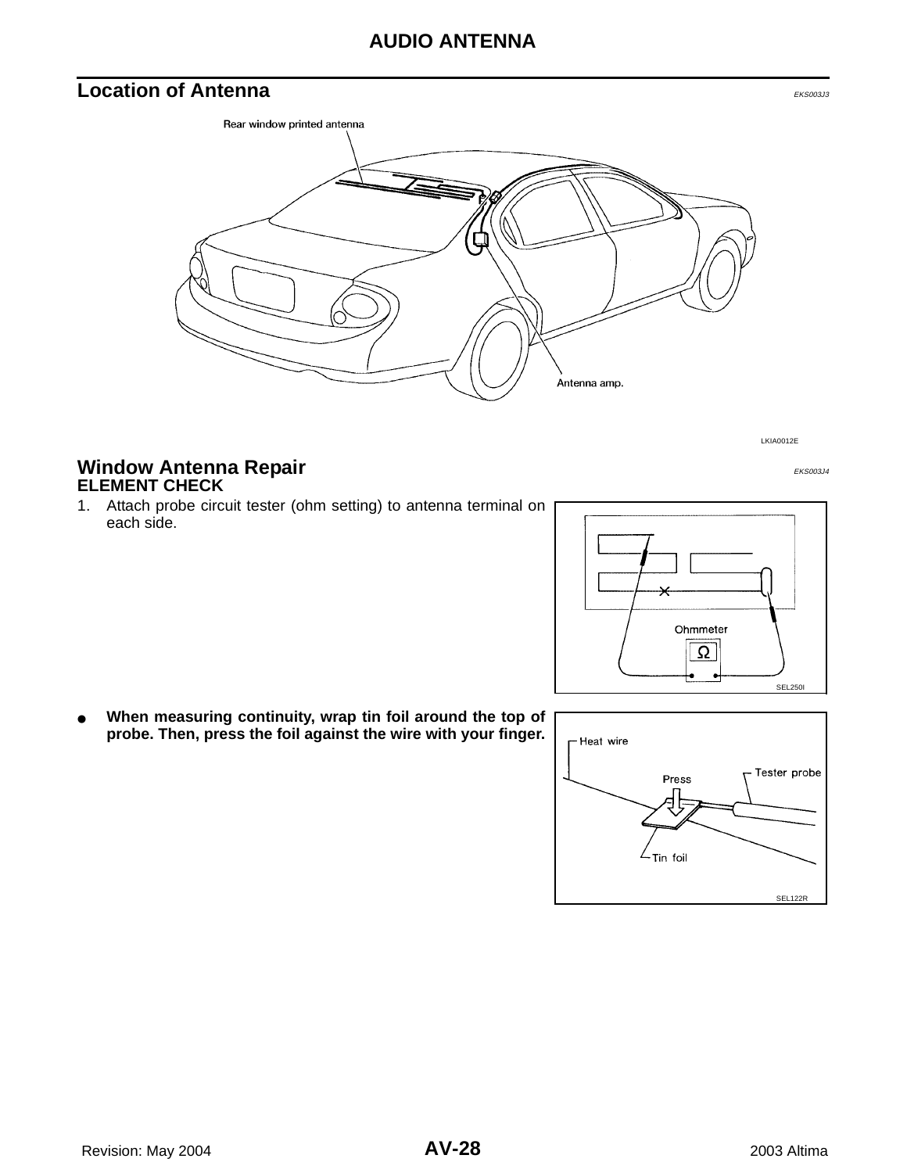### **AUDIO ANTENNA**

### <span id="page-27-0"></span>**Location of Antenna** EXS003J3



LKIA0012E

#### <span id="page-27-2"></span><span id="page-27-1"></span>**Window Antenna Repair** EXPERIMENT EXSOON **ELEMENT CHECK**

1. Attach probe circuit tester (ohm setting) to antenna terminal on each side.



When measuring continuity, wrap tin foil around the top of **probe. Then, press the foil against the wire with your finger.**